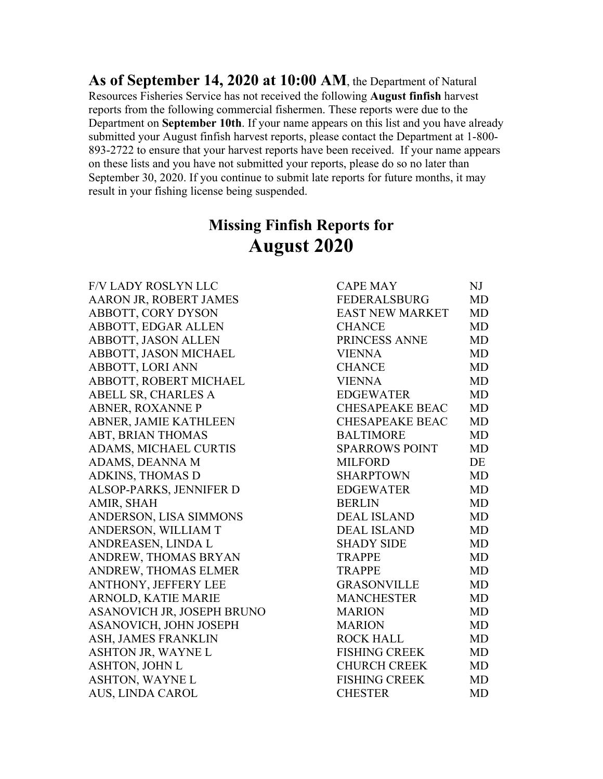**As of September 14, 2020 at 10:00 AM**, the Department of Natural Resources Fisheries Service has not received the following **August finfish** harvest reports from the following commercial fishermen. These reports were due to the Department on **September 10th**. If your name appears on this list and you have already submitted your August finfish harvest reports, please contact the Department at 1-800- 893-2722 to ensure that your harvest reports have been received. If your name appears on these lists and you have not submitted your reports, please do so no later than September 30, 2020. If you continue to submit late reports for future months, it may result in your fishing license being suspended.

## **Missing Finfish Reports for August 2020**

**F/V LADY ROSLYN LLC** AARON JR, ROBERT JAMES ABBOTT, CORY DYSON ABBOTT, EDGAR ALLEN ABBOTT, JASON ALLEN ABBOTT, JASON MICHAEL ABBOTT, LORI ANN ABBOTT, ROBERT MICHAEL ABELL SR, CHARLES A ABNER, ROXANNE P ABNER, JAMIE KATHLEEN ABT, BRIAN THOMAS ADAMS, MICHAEL CURTIS ADAMS, DEANNA M ADKINS, THOMAS D ALSOP-PARKS, JENNIFER D AMIR, SHAH ANDERSON, LISA SIMMONS ANDERSON, WILLIAM T ANDREASEN, LINDA L ANDREW, THOMAS BRYAN ANDREW, THOMAS ELMER ANTHONY, JEFFERY LEE ARNOLD, KATIE MARIE ASANOVICH JR, JOSEPH BRUNO ASANOVICH, JOHN JOSEPH ASH, JAMES FRANKLIN ASHTON JR, WAYNE L ASHTON, JOHN L ASHTON, WAYNE L AUS, LINDA CAROL

| <b>CAPE MAY</b>        | NJ        |
|------------------------|-----------|
| FEDERALSBURG           | <b>MD</b> |
| <b>EAST NEW MARKET</b> | <b>MD</b> |
| <b>CHANCE</b>          | MD        |
| PRINCESS ANNE          | <b>MD</b> |
| <b>VIENNA</b>          | MD        |
| <b>CHANCE</b>          | <b>MD</b> |
| <b>VIENNA</b>          | <b>MD</b> |
| <b>EDGEWATER</b>       | <b>MD</b> |
| <b>CHESAPEAKE BEAC</b> | <b>MD</b> |
| <b>CHESAPEAKE BEAC</b> | <b>MD</b> |
| <b>BALTIMORE</b>       | <b>MD</b> |
| <b>SPARROWS POINT</b>  | <b>MD</b> |
| <b>MILFORD</b>         | DE        |
| <b>SHARPTOWN</b>       | <b>MD</b> |
| <b>EDGEWATER</b>       | <b>MD</b> |
| <b>BERLIN</b>          | <b>MD</b> |
| <b>DEAL ISLAND</b>     | <b>MD</b> |
| <b>DEAL ISLAND</b>     | <b>MD</b> |
| <b>SHADY SIDE</b>      | <b>MD</b> |
| <b>TRAPPE</b>          | <b>MD</b> |
| <b>TRAPPE</b>          | <b>MD</b> |
| <b>GRASONVILLE</b>     | <b>MD</b> |
| <b>MANCHESTER</b>      | <b>MD</b> |
| <b>MARION</b>          | <b>MD</b> |
| <b>MARION</b>          | <b>MD</b> |
| <b>ROCK HALL</b>       | <b>MD</b> |
| <b>FISHING CREEK</b>   | <b>MD</b> |
| <b>CHURCH CREEK</b>    | <b>MD</b> |
| <b>FISHING CREEK</b>   | <b>MD</b> |
| <b>CHESTER</b>         | <b>MD</b> |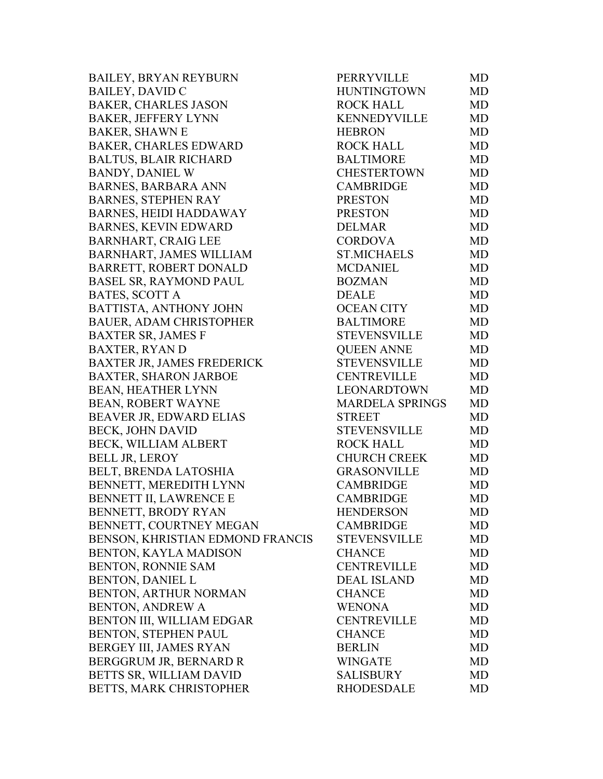BAILEY, BRYAN REYBURN PERRYVILLE MD BAILEY, DAVID C HUNTINGTOWN MD BAKER, CHARLES JASON ROCK HALL MD BAKER, JEFFERY LYNN KENNEDYVILLE MD BAKER, SHAWN E HEBRON MD BAKER, CHARLES EDWARD ROCK HALL MD BALTUS, BLAIR RICHARD BALTIMORE MD BANDY, DANIEL W CHESTERTOWN MD BARNES, BARBARA ANN CAMBRIDGE MD BARNES, STEPHEN RAY PRESTON MD BARNES, HEIDI HADDAWAY PRESTON MD BARNES, KEVIN EDWARD DELMAR MD BARNHART, CRAIG LEE CORDOVA MD BARNHART, JAMES WILLIAM ST.MICHAELS MD BARRETT, ROBERT DONALD MCDANIEL MD BASEL SR, RAYMOND PAUL BOZMAN MD BATES, SCOTT A DEALE MD BATTISTA, ANTHONY JOHN OCEAN CITY MD BAUER, ADAM CHRISTOPHER BALTIMORE MD BAXTER SR, JAMES F STEVENSVILLE MD BAXTER, RYAN D QUEEN ANNE MD BAXTER JR, JAMES FREDERICK STEVENSVILLE MD BAXTER, SHARON JARBOE CENTREVILLE MD BEAN, HEATHER LYNN LEONARDTOWN MD BEAN, ROBERT WAYNE MARDELA SPRINGS MD BEAVER JR, EDWARD ELIAS STREET MD BECK, JOHN DAVID STEVENSVILLE MD BECK, WILLIAM ALBERT ROCK HALL MD BELL JR, LEROY CHURCH CREEK MD BELT, BRENDA LATOSHIA GRASONVILLE MD BENNETT, MEREDITH LYNN CAMBRIDGE MD BENNETT II, LAWRENCE E CAMBRIDGE MD BENNETT, BRODY RYAN HENDERSON MD BENNETT, COURTNEY MEGAN CAMBRIDGE MD BENSON, KHRISTIAN EDMOND FRANCIS STEVENSVILLE MD BENTON, KAYLA MADISON CHANCE MD BENTON, RONNIE SAM CENTREVILLE MD BENTON, DANIEL L $DEAL$  ISLAND MD BENTON, ARTHUR NORMAN CHANCE MD BENTON, ANDREW A WENONA WENONA MD BENTON III, WILLIAM EDGAR CENTREVILLE MD BENTON, STEPHEN PAUL CHANCE MD BERGEY III, JAMES RYAN BERLIN BERLIN MD BERGGRUM JR. BERNARD R WINGATE MD BETTS SR, WILLIAM DAVID SALISBURY MD BETTS, MARK CHRISTOPHER RHODESDALE MD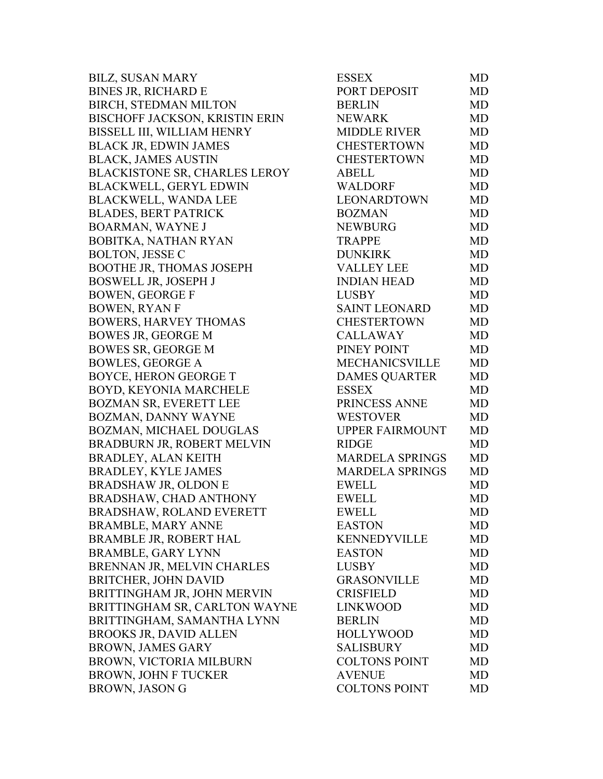| <b>BILZ, SUSAN MARY</b>              | <b>ESSEX</b>           | <b>MD</b> |
|--------------------------------------|------------------------|-----------|
| <b>BINES JR, RICHARD E</b>           | PORT DEPOSIT           | <b>MD</b> |
| BIRCH, STEDMAN MILTON                | <b>BERLIN</b>          | <b>MD</b> |
| BISCHOFF JACKSON, KRISTIN ERIN       | <b>NEWARK</b>          | <b>MD</b> |
| BISSELL III, WILLIAM HENRY           | <b>MIDDLE RIVER</b>    | MD        |
| <b>BLACK JR, EDWIN JAMES</b>         | <b>CHESTERTOWN</b>     | <b>MD</b> |
| <b>BLACK, JAMES AUSTIN</b>           | <b>CHESTERTOWN</b>     | <b>MD</b> |
| <b>BLACKISTONE SR, CHARLES LEROY</b> | <b>ABELL</b>           | MD        |
| <b>BLACKWELL, GERYL EDWIN</b>        | <b>WALDORF</b>         | MD        |
| <b>BLACKWELL, WANDA LEE</b>          | <b>LEONARDTOWN</b>     | <b>MD</b> |
| <b>BLADES, BERT PATRICK</b>          | <b>BOZMAN</b>          | <b>MD</b> |
| <b>BOARMAN, WAYNE J</b>              | <b>NEWBURG</b>         | MD        |
| BOBITKA, NATHAN RYAN                 | <b>TRAPPE</b>          | <b>MD</b> |
| <b>BOLTON, JESSE C</b>               | <b>DUNKIRK</b>         | <b>MD</b> |
| <b>BOOTHE JR, THOMAS JOSEPH</b>      | <b>VALLEY LEE</b>      | <b>MD</b> |
| <b>BOSWELL JR, JOSEPH J</b>          | <b>INDIAN HEAD</b>     | <b>MD</b> |
| <b>BOWEN, GEORGE F</b>               | <b>LUSBY</b>           | <b>MD</b> |
| <b>BOWEN, RYAN F</b>                 | <b>SAINT LEONARD</b>   | <b>MD</b> |
| <b>BOWERS, HARVEY THOMAS</b>         | <b>CHESTERTOWN</b>     | <b>MD</b> |
| <b>BOWES JR, GEORGE M</b>            | <b>CALLAWAY</b>        | <b>MD</b> |
| <b>BOWES SR, GEORGE M</b>            | PINEY POINT            | <b>MD</b> |
| <b>BOWLES, GEORGE A</b>              | <b>MECHANICSVILLE</b>  | <b>MD</b> |
| BOYCE, HERON GEORGE T                | <b>DAMES QUARTER</b>   | <b>MD</b> |
| BOYD, KEYONIA MARCHELE               | <b>ESSEX</b>           | <b>MD</b> |
| <b>BOZMAN SR, EVERETT LEE</b>        | PRINCESS ANNE          | MD        |
| BOZMAN, DANNY WAYNE                  | <b>WESTOVER</b>        | MD        |
| BOZMAN, MICHAEL DOUGLAS              | <b>UPPER FAIRMOUNT</b> | <b>MD</b> |
| BRADBURN JR, ROBERT MELVIN           | <b>RIDGE</b>           | MD        |
| <b>BRADLEY, ALAN KEITH</b>           | <b>MARDELA SPRINGS</b> | <b>MD</b> |
| <b>BRADLEY, KYLE JAMES</b>           | <b>MARDELA SPRINGS</b> | MD        |
| <b>BRADSHAW JR, OLDON E</b>          | <b>EWELL</b>           | MD        |
| BRADSHAW, CHAD ANTHONY               | <b>EWELL</b>           | MD        |
| BRADSHAW, ROLAND EVERETT             | <b>EWELL</b>           | MD        |
| <b>BRAMBLE, MARY ANNE</b>            | <b>EASTON</b>          | MD        |
| <b>BRAMBLE JR, ROBERT HAL</b>        | <b>KENNEDYVILLE</b>    | MD        |
| <b>BRAMBLE, GARY LYNN</b>            | <b>EASTON</b>          | MD        |
| BRENNAN JR, MELVIN CHARLES           | <b>LUSBY</b>           | MD        |
| BRITCHER, JOHN DAVID                 | <b>GRASONVILLE</b>     | MD        |
| BRITTINGHAM JR, JOHN MERVIN          | <b>CRISFIELD</b>       | MD        |
| BRITTINGHAM SR, CARLTON WAYNE        | <b>LINKWOOD</b>        | MD        |
| BRITTINGHAM, SAMANTHA LYNN           | <b>BERLIN</b>          | MD        |
| <b>BROOKS JR, DAVID ALLEN</b>        | <b>HOLLYWOOD</b>       | MD        |
| <b>BROWN, JAMES GARY</b>             | <b>SALISBURY</b>       | MD        |
| BROWN, VICTORIA MILBURN              | <b>COLTONS POINT</b>   | MD        |
| <b>BROWN, JOHN F TUCKER</b>          | <b>AVENUE</b>          | MD        |
| <b>BROWN, JASON G</b>                | <b>COLTONS POINT</b>   | MD        |
|                                      |                        |           |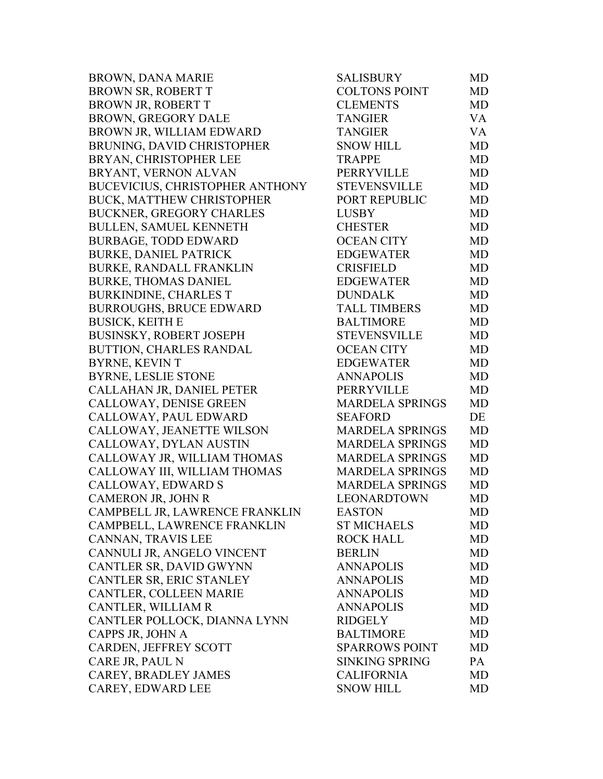| <b>BROWN, DANA MARIE</b>               | <b>SALISBURY</b>       | <b>MD</b> |
|----------------------------------------|------------------------|-----------|
| BROWN SR, ROBERT T                     | <b>COLTONS POINT</b>   | <b>MD</b> |
| <b>BROWN JR, ROBERT T</b>              | <b>CLEMENTS</b>        | MD        |
| <b>BROWN, GREGORY DALE</b>             | <b>TANGIER</b>         | VA        |
| BROWN JR, WILLIAM EDWARD               | <b>TANGIER</b>         | <b>VA</b> |
| BRUNING, DAVID CHRISTOPHER             | <b>SNOW HILL</b>       | <b>MD</b> |
| BRYAN, CHRISTOPHER LEE                 | <b>TRAPPE</b>          | <b>MD</b> |
| BRYANT, VERNON ALVAN                   | PERRYVILLE             | <b>MD</b> |
| <b>BUCEVICIUS, CHRISTOPHER ANTHONY</b> | <b>STEVENSVILLE</b>    | <b>MD</b> |
| <b>BUCK, MATTHEW CHRISTOPHER</b>       | PORT REPUBLIC          | <b>MD</b> |
| <b>BUCKNER, GREGORY CHARLES</b>        | <b>LUSBY</b>           | <b>MD</b> |
| <b>BULLEN, SAMUEL KENNETH</b>          | <b>CHESTER</b>         | <b>MD</b> |
| <b>BURBAGE, TODD EDWARD</b>            | <b>OCEAN CITY</b>      | <b>MD</b> |
| <b>BURKE, DANIEL PATRICK</b>           | <b>EDGEWATER</b>       | <b>MD</b> |
| <b>BURKE, RANDALL FRANKLIN</b>         | <b>CRISFIELD</b>       | <b>MD</b> |
| <b>BURKE, THOMAS DANIEL</b>            | <b>EDGEWATER</b>       | <b>MD</b> |
| <b>BURKINDINE, CHARLES T</b>           | <b>DUNDALK</b>         | <b>MD</b> |
| <b>BURROUGHS, BRUCE EDWARD</b>         | <b>TALL TIMBERS</b>    | MD        |
| <b>BUSICK, KEITH E</b>                 | <b>BALTIMORE</b>       | <b>MD</b> |
| <b>BUSINSKY, ROBERT JOSEPH</b>         | <b>STEVENSVILLE</b>    | <b>MD</b> |
| <b>BUTTION, CHARLES RANDAL</b>         | <b>OCEAN CITY</b>      | <b>MD</b> |
| <b>BYRNE, KEVIN T</b>                  | <b>EDGEWATER</b>       | <b>MD</b> |
| <b>BYRNE, LESLIE STONE</b>             | <b>ANNAPOLIS</b>       | <b>MD</b> |
| CALLAHAN JR, DANIEL PETER              | PERRYVILLE             | <b>MD</b> |
| CALLOWAY, DENISE GREEN                 | <b>MARDELA SPRINGS</b> | <b>MD</b> |
| CALLOWAY, PAUL EDWARD                  | <b>SEAFORD</b>         | DE        |
| CALLOWAY, JEANETTE WILSON              | <b>MARDELA SPRINGS</b> | <b>MD</b> |
| CALLOWAY, DYLAN AUSTIN                 | <b>MARDELA SPRINGS</b> | MD        |
| CALLOWAY JR, WILLIAM THOMAS            | <b>MARDELA SPRINGS</b> | MD        |
| CALLOWAY III, WILLIAM THOMAS           | <b>MARDELA SPRINGS</b> | <b>MD</b> |
| CALLOWAY, EDWARD S                     | <b>MARDELA SPRINGS</b> | MD        |
| CAMERON JR, JOHN R                     | <b>LEONARDTOWN</b>     | MD        |
| CAMPBELL JR, LAWRENCE FRANKLIN         | <b>EASTON</b>          | MD        |
| CAMPBELL, LAWRENCE FRANKLIN            | <b>ST MICHAELS</b>     | MD        |
| CANNAN, TRAVIS LEE                     | <b>ROCK HALL</b>       | MD        |
| CANNULI JR, ANGELO VINCENT             | <b>BERLIN</b>          | MD        |
| CANTLER SR, DAVID GWYNN                | <b>ANNAPOLIS</b>       | <b>MD</b> |
| CANTLER SR, ERIC STANLEY               | <b>ANNAPOLIS</b>       | <b>MD</b> |
| CANTLER, COLLEEN MARIE                 | <b>ANNAPOLIS</b>       | <b>MD</b> |
| CANTLER, WILLIAM R                     | <b>ANNAPOLIS</b>       | <b>MD</b> |
| CANTLER POLLOCK, DIANNA LYNN           | <b>RIDGELY</b>         | <b>MD</b> |
| CAPPS JR, JOHN A                       | <b>BALTIMORE</b>       | <b>MD</b> |
| CARDEN, JEFFREY SCOTT                  | <b>SPARROWS POINT</b>  | <b>MD</b> |
| CARE JR, PAUL N                        | <b>SINKING SPRING</b>  | PA.       |
| CAREY, BRADLEY JAMES                   | <b>CALIFORNIA</b>      | <b>MD</b> |
| CAREY, EDWARD LEE                      | <b>SNOW HILL</b>       | <b>MD</b> |
|                                        |                        |           |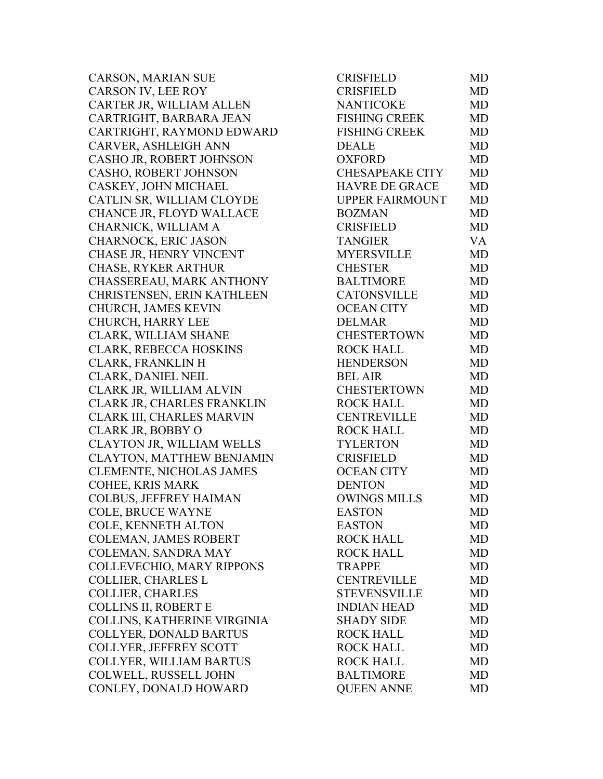CARSON, MARIAN SUE CARSON IV, LEE ROY CARTER JR, WILLIAM ALLEN CARTRIGHT, BARBARA JEAN CARTRIGHT, RAYMOND EDWARD CARVER, ASHLEIGH ANN CASHO JR, ROBERT JOHNSON CASHO, ROBERT JOHNSON CASKEY, JOHN MICHAEL CATLIN SR, WILLIAM CLOYDE CHANCE JR, FLOYD WALLACE CHARNICK, WILLIAM A CHARNOCK, ERIC JASON CHASE JR, HENRY VINCENT CHASE, RYKER ARTHUR CHASSEREAU, MARK ANTHONY CHRISTENSEN, ERIN KATHLEEN CHURCH, JAMES KEVIN CHURCH, HARRY LEE CLARK, WILLIAM SHANE CLARK, REBECCA HOSKINS CLARK, FRANKLIN H CLARK, DANIEL NEIL CLARK JR, WILLIAM ALVIN CLARK JR, CHARLES FRANKLIN CLARK III, CHARLES MARVIN CLARK JR, BOBBY O CLAYTON JR, WILLIAM WELLS CLAYTON, MATTHEW BENJAMIN CLEMENTE, NICHOLAS JAMES COHEE, KRIS MARK COLBUS, JEFFREY HAIMAN COLE, BRUCE WAYNE COLE, KENNETH ALTON COLEMAN, JAMES ROBERT COLEMAN, SANDRA MAY COLLEVECHIO, MARY RIPPONS COLLIER, CHARLES L COLLIER, CHARLES COLLINS II, ROBERT E COLLINS, KATHERINE VIRGINIA COLLYER, DONALD BARTUS COLLYER, JEFFREY SCOTT COLLYER, WILLIAM BARTUS COLWELL, RUSSELL JOHN CONLEY, DONALD HOWARD

| <b>CRISFIELD</b>       | MD        |
|------------------------|-----------|
| <b>CRISFIELD</b>       | <b>MD</b> |
| <b>NANTICOKE</b>       | <b>MD</b> |
| <b>FISHING CREEK</b>   | <b>MD</b> |
| <b>FISHING CREEK</b>   | <b>MD</b> |
| <b>DEALE</b>           | <b>MD</b> |
| <b>OXFORD</b>          | <b>MD</b> |
| <b>CHESAPEAKE CITY</b> | <b>MD</b> |
| <b>HAVRE DE GRACE</b>  | <b>MD</b> |
| <b>UPPER FAIRMOUNT</b> | <b>MD</b> |
| <b>BOZMAN</b>          | <b>MD</b> |
| <b>CRISFIELD</b>       | <b>MD</b> |
| <b>TANGIER</b>         | <b>VA</b> |
| <b>MYERSVILLE</b>      | <b>MD</b> |
| <b>CHESTER</b>         | <b>MD</b> |
| <b>BALTIMORE</b>       | MD        |
| <b>CATONSVILLE</b>     | <b>MD</b> |
| <b>OCEAN CITY</b>      | <b>MD</b> |
| <b>DELMAR</b>          | <b>MD</b> |
| <b>CHESTERTOWN</b>     | <b>MD</b> |
| <b>ROCK HALL</b>       | <b>MD</b> |
| <b>HENDERSON</b>       | <b>MD</b> |
| <b>BEL AIR</b>         | <b>MD</b> |
| <b>CHESTERTOWN</b>     | <b>MD</b> |
| <b>ROCK HALL</b>       | <b>MD</b> |
| <b>CENTREVILLE</b>     | MD        |
| <b>ROCK HALL</b>       | <b>MD</b> |
| <b>TYLERTON</b>        | <b>MD</b> |
| <b>CRISFIELD</b>       | <b>MD</b> |
| <b>OCEAN CITY</b>      | <b>MD</b> |
| <b>DENTON</b>          | <b>MD</b> |
| <b>OWINGS MILLS</b>    | <b>MD</b> |
| <b>EASTON</b>          | MD        |
| <b>EASTON</b>          | MD        |
| <b>ROCK HALL</b>       | <b>MD</b> |
| <b>ROCK HALL</b>       | MD        |
| <b>TRAPPE</b>          | <b>MD</b> |
| <b>CENTREVILLE</b>     | <b>MD</b> |
| <b>STEVENSVILLE</b>    | <b>MD</b> |
| <b>INDIAN HEAD</b>     | <b>MD</b> |
| <b>SHADY SIDE</b>      | MD        |
| <b>ROCK HALL</b>       | MD        |
| <b>ROCK HALL</b>       | <b>MD</b> |
| <b>ROCK HALL</b>       | <b>MD</b> |
| <b>BALTIMORE</b>       | <b>MD</b> |
| <b>QUEEN ANNE</b>      | MD        |
|                        |           |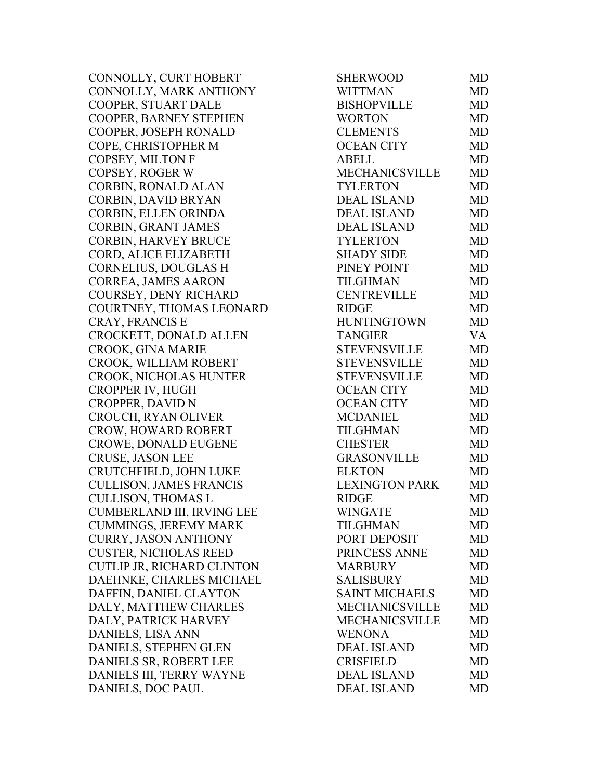CONNOLLY, CURT HOBERT CONNOLLY, MARK ANTHONY COOPER, STUART DALE COOPER, BARNEY STEPHEN COOPER, JOSEPH RONALD COPE, CHRISTOPHER M COPSEY, MILTON F COPSEY, ROGER W CORBIN, RONALD ALAN CORBIN, DAVID BRYAN CORBIN, ELLEN ORINDA CORBIN, GRANT JAMES CORBIN, HARVEY BRUCE CORD, ALICE ELIZABETH CORNELIUS, DOUGLAS H CORREA, JAMES AARON COURSEY, DENY RICHARD COURTNEY, THOMAS LEONARD CRAY, FRANCIS E CROCKETT, DONALD ALLEN CROOK, GINA MARIE CROOK, WILLIAM ROBERT CROOK, NICHOLAS HUNTER CROPPER IV, HUGH CROPPER, DAVID N CROUCH, RYAN OLIVER CROW, HOWARD ROBERT CROWE, DONALD EUGENE CRUSE, JASON LEE CRUTCHFIELD, JOHN LUKE CULLISON, JAMES FRANCIS CULLISON, THOMAS L CUMBERLAND III, IRVING LEE CUMMINGS, JEREMY MARK CURRY, JASON ANTHONY **CUSTER, NICHOLAS REED** CUTLIP JR, RICHARD CLINTON DAEHNKE, CHARLES MICHAEL DAFFIN, DANIEL CLAYTON DALY, MATTHEW CHARLES DALY, PATRICK HARVEY DANIELS, LISA ANN DANIELS, STEPHEN GLEN DANIELS SR, ROBERT LEE DANIELS III, TERRY WAYNE DANIELS, DOC PAUL

| SHERWOOD              | MD        |
|-----------------------|-----------|
| <b>WITTMAN</b>        | <b>MD</b> |
| <b>BISHOPVILLE</b>    | <b>MD</b> |
| <b>WORTON</b>         | <b>MD</b> |
| <b>CLEMENTS</b>       | <b>MD</b> |
| <b>OCEAN CITY</b>     | <b>MD</b> |
| <b>ABELL</b>          | <b>MD</b> |
| MECHANICSVILLE        | <b>MD</b> |
| <b>TYLERTON</b>       | <b>MD</b> |
| <b>DEAL ISLAND</b>    | <b>MD</b> |
| <b>DEAL ISLAND</b>    | <b>MD</b> |
| <b>DEAL ISLAND</b>    | <b>MD</b> |
| <b>TYLERTON</b>       | <b>MD</b> |
| <b>SHADY SIDE</b>     | <b>MD</b> |
| PINEY POINT           | <b>MD</b> |
| TILGHMAN              | <b>MD</b> |
| <b>CENTREVILLE</b>    | <b>MD</b> |
| <b>RIDGE</b>          | <b>MD</b> |
| <b>HUNTINGTOWN</b>    | <b>MD</b> |
| <b>TANGIER</b>        | <b>VA</b> |
| <b>STEVENSVILLE</b>   | <b>MD</b> |
| <b>STEVENSVILLE</b>   | <b>MD</b> |
| <b>STEVENSVILLE</b>   | <b>MD</b> |
| <b>OCEAN CITY</b>     | <b>MD</b> |
| <b>OCEAN CITY</b>     | <b>MD</b> |
| <b>MCDANIEL</b>       | <b>MD</b> |
| <b>TILGHMAN</b>       | MD        |
| <b>CHESTER</b>        | <b>MD</b> |
| <b>GRASONVILLE</b>    | <b>MD</b> |
| <b>ELKTON</b>         | MD        |
| <b>LEXINGTON PARK</b> | MD        |
| <b>RIDGE</b>          | <b>MD</b> |
| <b>WINGATE</b>        | <b>MD</b> |
| <b>TILGHMAN</b>       | MD        |
| PORT DEPOSIT          | MD        |
| PRINCESS ANNE         | <b>MD</b> |
| <b>MARBURY</b>        | <b>MD</b> |
| <b>SALISBURY</b>      | <b>MD</b> |
| <b>SAINT MICHAELS</b> | <b>MD</b> |
| <b>MECHANICSVILLE</b> | <b>MD</b> |
| <b>MECHANICSVILLE</b> | <b>MD</b> |
| <b>WENONA</b>         | <b>MD</b> |
| <b>DEAL ISLAND</b>    | <b>MD</b> |
| <b>CRISFIELD</b>      | <b>MD</b> |
| <b>DEAL ISLAND</b>    | <b>MD</b> |
| <b>DEAL ISLAND</b>    | <b>MD</b> |
|                       |           |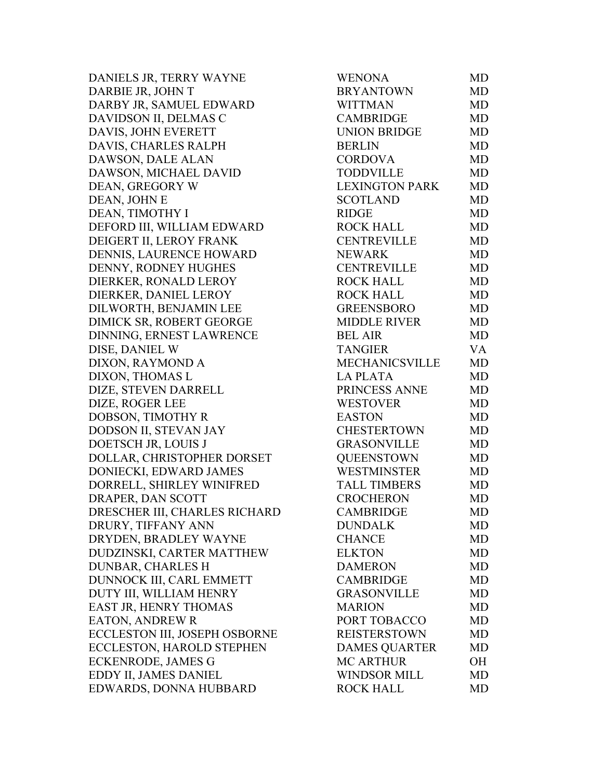DANIELS JR, TERRY WAYNE DARBIE JR, JOHN T DARBY JR, SAMUEL EDWARD DAVIDSON II, DELMAS C DAVIS, JOHN EVERETT DAVIS, CHARLES RALPH DAWSON, DALE ALAN DAWSON, MICHAEL DAVID DEAN, GREGORY W DEAN, JOHN E DEAN, TIMOTHY I DEFORD III, WILLIAM EDWARD DEIGERT II, LEROY FRANK DENNIS, LAURENCE HOWARD DENNY, RODNEY HUGHES DIERKER, RONALD LEROY DIERKER, DANIEL LEROY DILWORTH, BENJAMIN LEE DIMICK SR, ROBERT GEORGE DINNING, ERNEST LAWRENCE DISE, DANIEL W DIXON, RAYMOND A DIXON, THOMAS L DIZE, STEVEN DARRELL DIZE, ROGER LEE DOBSON, TIMOTHY R DODSON II, STEVAN JAY DOETSCH JR, LOUIS J DOLLAR, CHRISTOPHER DORSET DONIECKI, EDWARD JAMES DORRELL, SHIRLEY WINIFRED DRAPER, DAN SCOTT DRESCHER III, CHARLES RICHARD DRURY, TIFFANY ANN DRYDEN, BRADLEY WAYNE DUDZINSKI, CARTER MATTHEW DUNBAR, CHARLES H DUNNOCK III, CARL EMMETT DUTY III, WILLIAM HENRY EAST JR, HENRY THOMAS EATON, ANDREW R ECCLESTON III, JOSEPH OSBORNE ECCLESTON, HAROLD STEPHEN ECKENRODE, JAMES G EDDY II, JAMES DANIEL EDWARDS, DONNA HUBBARD

| <b>WENONA</b>         | MD        |
|-----------------------|-----------|
| <b>BRYANTOWN</b>      | MD        |
| <b>WITTMAN</b>        | MD        |
| <b>CAMBRIDGE</b>      | <b>MD</b> |
| <b>UNION BRIDGE</b>   | <b>MD</b> |
| <b>BERLIN</b>         | <b>MD</b> |
| <b>CORDOVA</b>        | MD        |
| <b>TODDVILLE</b>      | <b>MD</b> |
| <b>LEXINGTON PARK</b> | <b>MD</b> |
| <b>SCOTLAND</b>       | <b>MD</b> |
| <b>RIDGE</b>          | <b>MD</b> |
| <b>ROCK HALL</b>      | MD        |
| <b>CENTREVILLE</b>    | <b>MD</b> |
| <b>NEWARK</b>         | <b>MD</b> |
| <b>CENTREVILLE</b>    | <b>MD</b> |
| <b>ROCK HALL</b>      | <b>MD</b> |
| <b>ROCK HALL</b>      | <b>MD</b> |
| <b>GREENSBORO</b>     | <b>MD</b> |
| <b>MIDDLE RIVER</b>   | <b>MD</b> |
| <b>BEL AIR</b>        | <b>MD</b> |
| <b>TANGIER</b>        | VA        |
| MECHANICSVILLE        | <b>MD</b> |
| <b>LA PLATA</b>       | <b>MD</b> |
| PRINCESS ANNE         | <b>MD</b> |
| <b>WESTOVER</b>       | <b>MD</b> |
| <b>EASTON</b>         | MD        |
| <b>CHESTERTOWN</b>    | <b>MD</b> |
| <b>GRASONVILLE</b>    | <b>MD</b> |
| <b>QUEENSTOWN</b>     | <b>MD</b> |
| <b>WESTMINSTER</b>    | <b>MD</b> |
| <b>TALL TIMBERS</b>   | MD        |
| <b>CROCHERON</b>      | <b>MD</b> |
| <b>CAMBRIDGE</b>      | MD        |
| <b>DUNDALK</b>        | MD        |
| <b>CHANCE</b>         | MD        |
| <b>ELKTON</b>         | MD        |
| <b>DAMERON</b>        | MD        |
| <b>CAMBRIDGE</b>      | MD        |
| <b>GRASONVILLE</b>    | MD        |
| <b>MARION</b>         | MD        |
| PORT TOBACCO          | MD        |
| <b>REISTERSTOWN</b>   | MD        |
| <b>DAMES QUARTER</b>  | <b>MD</b> |
| <b>MC ARTHUR</b>      | OН        |
| <b>WINDSOR MILL</b>   | MD        |
| <b>ROCK HALL</b>      | MD        |
|                       |           |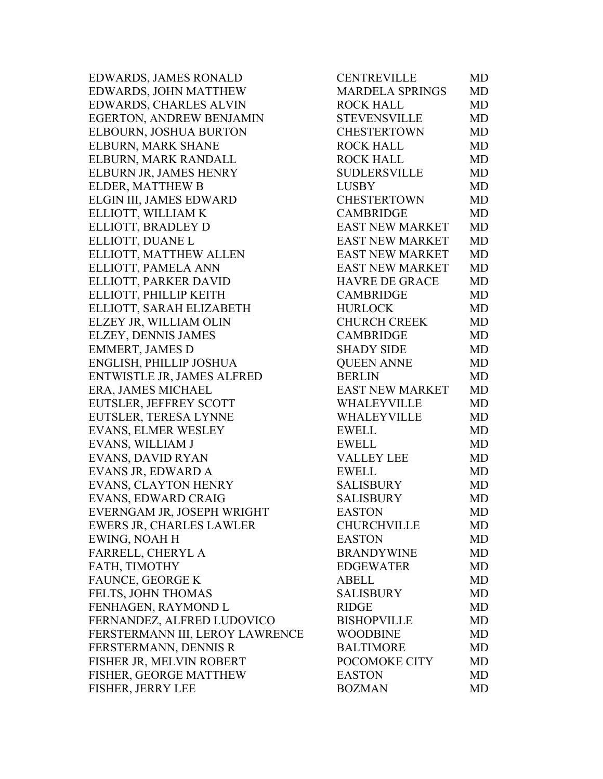EDWARDS, JAMES RONALD EDWARDS, JOHN MATTHEW EDWARDS, CHARLES ALVIN EGERTON, ANDREW BENJAMIN ELBOURN, JOSHUA BURTON ELBURN, MARK SHANE ELBURN, MARK RANDALL ELBURN JR, JAMES HENRY ELDER, MATTHEW B ELGIN III, JAMES EDWARD ELLIOTT, WILLIAM K ELLIOTT, BRADLEY D ELLIOTT, DUANE L ELLIOTT, MATTHEW ALLEN ELLIOTT, PAMELA ANN ELLIOTT, PARKER DAVID ELLIOTT, PHILLIP KEITH ELLIOTT, SARAH ELIZABETH ELZEY JR, WILLIAM OLIN ELZEY, DENNIS JAMES EMMERT, JAMES D ENGLISH, PHILLIP JOSHUA ENTWISTLE JR, JAMES ALFRED ERA, JAMES MICHAEL EUTSLER, JEFFREY SCOTT EUTSLER, TERESA LYNNE EVANS, ELMER WESLEY EVANS, WILLIAM J EVANS, DAVID RYAN EVANS JR, EDWARD A EVANS, CLAYTON HENRY EVANS, EDWARD CRAIG EVERNGAM JR, JOSEPH WRIGHT EWERS JR, CHARLES LAWLER EWING, NOAH H FARRELL, CHERYL A FATH, TIMOTHY FAUNCE, GEORGE K FELTS, JOHN THOMAS FENHAGEN, RAYMOND L FERNANDEZ, ALFRED LUDOVICO FERSTERMANN III, LEROY LAWRENCE FERSTERMANN, DENNIS R FISHER JR, MELVIN ROBERT FISHER, GEORGE MATTHEW FISHER, JERRY LEE

| <b>CENTREVILLE</b>     | MD        |
|------------------------|-----------|
| <b>MARDELA SPRINGS</b> | <b>MD</b> |
| <b>ROCK HALL</b>       | MD        |
| <b>STEVENSVILLE</b>    | <b>MD</b> |
| <b>CHESTERTOWN</b>     | <b>MD</b> |
| <b>ROCK HALL</b>       | <b>MD</b> |
| <b>ROCK HALL</b>       | MD        |
| <b>SUDLERSVILLE</b>    | <b>MD</b> |
| <b>LUSBY</b>           | MD        |
| <b>CHESTERTOWN</b>     | <b>MD</b> |
| <b>CAMBRIDGE</b>       | <b>MD</b> |
| <b>EAST NEW MARKET</b> | MD        |
| <b>EAST NEW MARKET</b> | <b>MD</b> |
| <b>EAST NEW MARKET</b> | <b>MD</b> |
| <b>EAST NEW MARKET</b> | <b>MD</b> |
| <b>HAVRE DE GRACE</b>  | <b>MD</b> |
| <b>CAMBRIDGE</b>       | MD        |
| <b>HURLOCK</b>         | <b>MD</b> |
| <b>CHURCH CREEK</b>    | <b>MD</b> |
| <b>CAMBRIDGE</b>       | <b>MD</b> |
| <b>SHADY SIDE</b>      | <b>MD</b> |
| <b>QUEEN ANNE</b>      | MD        |
| <b>BERLIN</b>          | MD        |
| <b>EAST NEW MARKET</b> | MD        |
| WHALEYVILLE            | <b>MD</b> |
| WHALEYVILLE            | <b>MD</b> |
| <b>EWELL</b>           | <b>MD</b> |
| <b>EWELL</b>           | <b>MD</b> |
| <b>VALLEY LEE</b>      | MD        |
| <b>EWELL</b>           | <b>MD</b> |
| <b>SALISBURY</b>       | <b>MD</b> |
| <b>SALISBURY</b>       | <b>MD</b> |
| <b>EASTON</b>          | MD        |
| <b>CHURCHVILLE</b>     | MD        |
| <b>EASTON</b>          | <b>MD</b> |
| <b>BRANDYWINE</b>      | MD        |
| <b>EDGEWATER</b>       | <b>MD</b> |
| <b>ABELL</b>           | <b>MD</b> |
| <b>SALISBURY</b>       | <b>MD</b> |
| <b>RIDGE</b>           | <b>MD</b> |
| <b>BISHOPVILLE</b>     | <b>MD</b> |
| <b>WOODBINE</b>        | <b>MD</b> |
| <b>BALTIMORE</b>       | <b>MD</b> |
| POCOMOKE CITY          | <b>MD</b> |
| <b>EASTON</b>          | MD        |
| <b>BOZMAN</b>          | MD        |
|                        |           |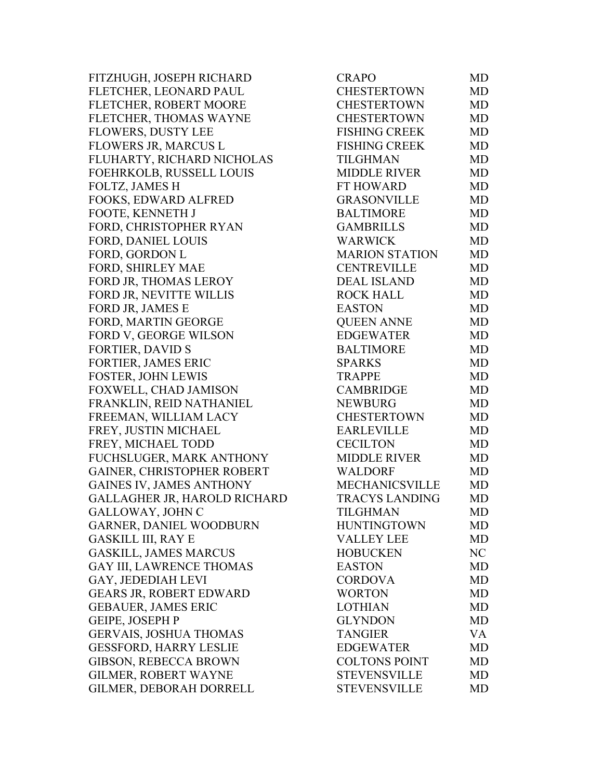FITZHUGH, JOSEPH RICHARD FLETCHER, LEONARD PAUL FLETCHER, ROBERT MOORE FLETCHER, THOMAS WAYNE FLOWERS, DUSTY LEE FLOWERS JR, MARCUS L FLUHARTY, RICHARD NICHOLAS FOEHRKOLB, RUSSELL LOUIS FOLTZ, JAMES H FOOKS, EDWARD ALFRED FOOTE, KENNETH J FORD, CHRISTOPHER RYAN FORD, DANIEL LOUIS FORD, GORDON L FORD, SHIRLEY MAE FORD JR, THOMAS LEROY FORD JR, NEVITTE WILLIS FORD JR, JAMES E FORD, MARTIN GEORGE FORD V, GEORGE WILSON FORTIER, DAVID S FORTIER, JAMES ERIC FOSTER, JOHN LEWIS FOXWELL, CHAD JAMISON FRANKLIN, REID NATHANIEL FREEMAN, WILLIAM LACY FREY, JUSTIN MICHAEL FREY, MICHAEL TODD FUCHSLUGER, MARK ANTHONY GAINER, CHRISTOPHER ROBERT GAINES IV, JAMES ANTHONY GALLAGHER JR, HAROLD RICHARD GALLOWAY, JOHN C GARNER, DANIEL WOODBURN GASKILL III, RAY E GASKILL, JAMES MARCUS GAY III, LAWRENCE THOMAS GAY, JEDEDIAH LEVI GEARS JR, ROBERT EDWARD GEBAUER, JAMES ERIC GEIPE, JOSEPH P GERVAIS, JOSHUA THOMAS GESSFORD, HARRY LESLIE GIBSON, REBECCA BROWN GILMER, ROBERT WAYNE GILMER, DEBORAH DORRELL

| <b>CRAPO</b>          | MD        |
|-----------------------|-----------|
| <b>CHESTERTOWN</b>    | <b>MD</b> |
| <b>CHESTERTOWN</b>    | MD        |
| <b>CHESTERTOWN</b>    | <b>MD</b> |
| <b>FISHING CREEK</b>  | <b>MD</b> |
| <b>FISHING CREEK</b>  | <b>MD</b> |
| <b>TILGHMAN</b>       | MD        |
| <b>MIDDLE RIVER</b>   | <b>MD</b> |
| <b>FT HOWARD</b>      | <b>MD</b> |
| <b>GRASONVILLE</b>    | <b>MD</b> |
| <b>BALTIMORE</b>      | <b>MD</b> |
| <b>GAMBRILLS</b>      | MD        |
| <b>WARWICK</b>        | <b>MD</b> |
| <b>MARION STATION</b> | MD        |
| <b>CENTREVILLE</b>    | <b>MD</b> |
| <b>DEAL ISLAND</b>    | <b>MD</b> |
| <b>ROCK HALL</b>      | MD        |
| <b>EASTON</b>         | <b>MD</b> |
| <b>QUEEN ANNE</b>     | <b>MD</b> |
| <b>EDGEWATER</b>      | <b>MD</b> |
| <b>BALTIMORE</b>      | <b>MD</b> |
| SPARKS                | MD        |
| <b>TRAPPE</b>         | MD        |
| <b>CAMBRIDGE</b>      | <b>MD</b> |
| <b>NEWBURG</b>        | <b>MD</b> |
| <b>CHESTERTOWN</b>    | <b>MD</b> |
| <b>EARLEVILLE</b>     | <b>MD</b> |
| <b>CECILTON</b>       | <b>MD</b> |
| <b>MIDDLE RIVER</b>   | MD        |
| <b>WALDORF</b>        | <b>MD</b> |
| <b>MECHANICSVILLE</b> | <b>MD</b> |
| <b>TRACYS LANDING</b> | <b>MD</b> |
| TILGHMAN              | MD        |
| <b>HUNTINGTOWN</b>    | MD        |
| <b>VALLEY LEE</b>     | <b>MD</b> |
| <b>HOBUCKEN</b>       | NC        |
| <b>EASTON</b>         | <b>MD</b> |
| <b>CORDOVA</b>        | <b>MD</b> |
| <b>WORTON</b>         | MD        |
| <b>LOTHIAN</b>        | <b>MD</b> |
| <b>GLYNDON</b>        | <b>MD</b> |
| <b>TANGIER</b>        | VA        |
| <b>EDGEWATER</b>      | <b>MD</b> |
| <b>COLTONS POINT</b>  | MD        |
| <b>STEVENSVILLE</b>   | <b>MD</b> |
| <b>STEVENSVILLE</b>   | MD        |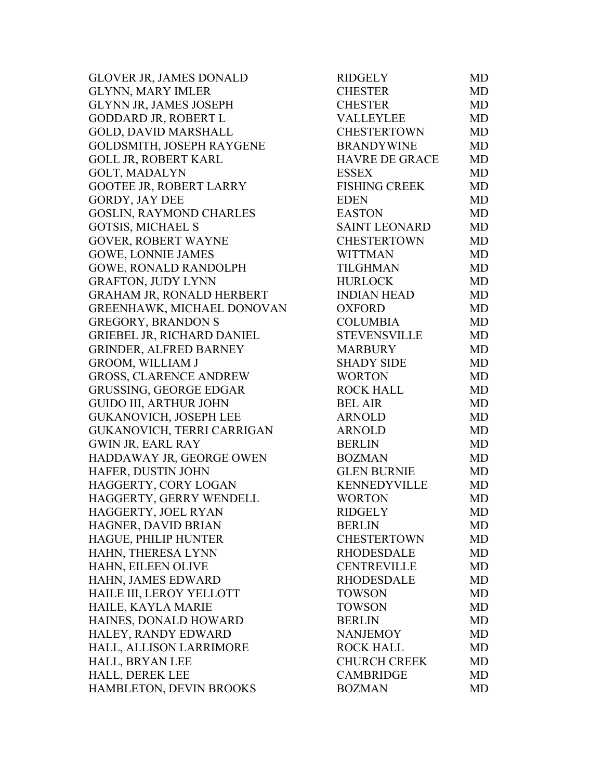GLOVER JR, JAMES DONALD GLYNN, MARY IMLER GLYNN JR, JAMES JOSEPH GODDARD JR, ROBERT L GOLD, DAVID MARSHALL GOLDSMITH, JOSEPH RAYGENE GOLL JR, ROBERT KARL GOLT, MADALYN GOOTEE JR, ROBERT LARRY GORDY, JAY DEE GOSLIN, RAYMOND CHARLES GOTSIS, MICHAEL S GOVER, ROBERT WAYNE GOWE, LONNIE JAMES GOWE, RONALD RANDOLPH GRAFTON, JUDY LYNN GRAHAM JR, RONALD HERBERT GREENHAWK, MICHAEL DONOVAN GREGORY, BRANDON S GRIEBEL JR, RICHARD DANIEL GRINDER, ALFRED BARNEY GROOM, WILLIAM J GROSS, CLARENCE ANDREW GRUSSING, GEORGE EDGAR GUIDO III, ARTHUR JOHN GUKANOVICH, JOSEPH LEE GUKANOVICH, TERRI CARRIGAN GWIN JR, EARL RAY HADDAWAY JR, GEORGE OWEN HAFER, DUSTIN JOHN HAGGERTY, CORY LOGAN HAGGERTY, GERRY WENDELL HAGGERTY, JOEL RYAN HAGNER, DAVID BRIAN HAGUE, PHILIP HUNTER HAHN, THERESA LYNN HAHN, EILEEN OLIVE HAHN, JAMES EDWARD HAILE III, LEROY YELLOTT HAILE, KAYLA MARIE HAINES, DONALD HOWARD BERLIN MD HALEY, RANDY EDWARD HALL, ALLISON LARRIMORE HALL, BRYAN LEE HALL, DEREK LEE HAMBLETON, DEVIN BROOKS

| RIDGELY               | MD        |
|-----------------------|-----------|
| <b>CHESTER</b>        | MD        |
| <b>CHESTER</b>        | MD        |
| <b>VALLEYLEE</b>      | <b>MD</b> |
| <b>CHESTERTOWN</b>    | <b>MD</b> |
| <b>BRANDYWINE</b>     | <b>MD</b> |
| <b>HAVRE DE GRACE</b> | MD        |
| <b>ESSEX</b>          | <b>MD</b> |
| <b>FISHING CREEK</b>  | <b>MD</b> |
| <b>EDEN</b>           | MD        |
| <b>EASTON</b>         | <b>MD</b> |
| <b>SAINT LEONARD</b>  | <b>MD</b> |
| <b>CHESTERTOWN</b>    | MD        |
| <b>WITTMAN</b>        | <b>MD</b> |
| <b>TILGHMAN</b>       | <b>MD</b> |
| <b>HURLOCK</b>        | <b>MD</b> |
| <b>INDIAN HEAD</b>    | <b>MD</b> |
| <b>OXFORD</b>         | <b>MD</b> |
| <b>COLUMBIA</b>       | <b>MD</b> |
| <b>STEVENSVILLE</b>   | <b>MD</b> |
| <b>MARBURY</b>        | <b>MD</b> |
| <b>SHADY SIDE</b>     | <b>MD</b> |
| <b>WORTON</b>         | <b>MD</b> |
| <b>ROCK HALL</b>      | <b>MD</b> |
| <b>BEL AIR</b>        | <b>MD</b> |
| <b>ARNOLD</b>         | <b>MD</b> |
| <b>ARNOLD</b>         | MD        |
| <b>BERLIN</b>         | <b>MD</b> |
| <b>BOZMAN</b>         | <b>MD</b> |
| <b>GLEN BURNIE</b>    | <b>MD</b> |
| KENNEDYVILLE          | <b>MD</b> |
| <b>WORTON</b>         | <b>MD</b> |
| <b>RIDGELY</b>        | MD        |
| <b>BERLIN</b>         | <b>MD</b> |
| <b>CHESTERTOWN</b>    | <b>MD</b> |
| <b>RHODESDALE</b>     | <b>MD</b> |
| <b>CENTREVILLE</b>    | <b>MD</b> |
| <b>RHODESDALE</b>     | <b>MD</b> |
| <b>TOWSON</b>         | <b>MD</b> |
| <b>TOWSON</b>         | <b>MD</b> |
| <b>BERLIN</b>         | <b>MD</b> |
| <b>NANJEMOY</b>       | <b>MD</b> |
| <b>ROCK HALL</b>      | <b>MD</b> |
| <b>CHURCH CREEK</b>   | <b>MD</b> |
| <b>CAMBRIDGE</b>      | <b>MD</b> |
| <b>BOZMAN</b>         | <b>MD</b> |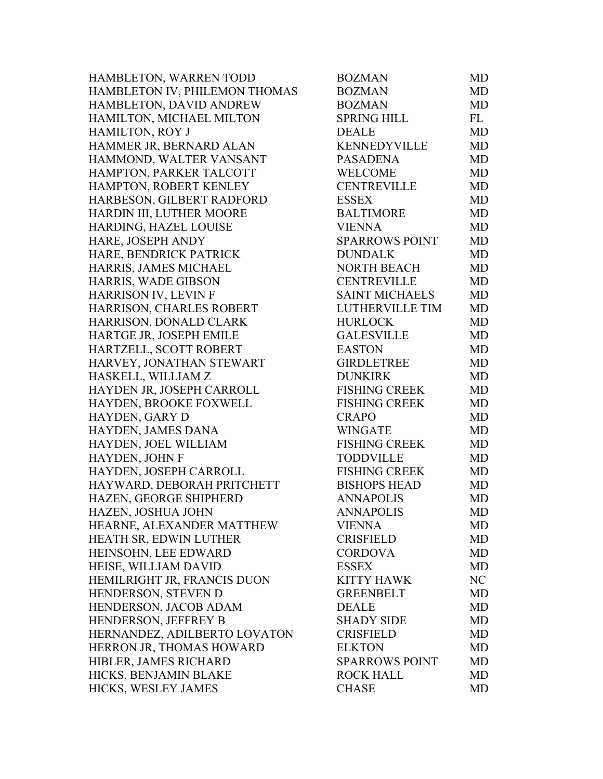| HAMBLETON, WARREN TODD        | <b>BOZMAN</b>         | MD        |
|-------------------------------|-----------------------|-----------|
| HAMBLETON IV, PHILEMON THOMAS | <b>BOZMAN</b>         | MD        |
| HAMBLETON, DAVID ANDREW       | <b>BOZMAN</b>         | MD        |
| HAMILTON, MICHAEL MILTON      | <b>SPRING HILL</b>    | FL        |
| <b>HAMILTON, ROY J</b>        | <b>DEALE</b>          | MD        |
| HAMMER JR, BERNARD ALAN       | <b>KENNEDYVILLE</b>   | MD        |
| HAMMOND, WALTER VANSANT       | <b>PASADENA</b>       | MD        |
| HAMPTON, PARKER TALCOTT       | WELCOME               | MD        |
| HAMPTON, ROBERT KENLEY        | <b>CENTREVILLE</b>    | MD        |
| HARBESON, GILBERT RADFORD     | <b>ESSEX</b>          | MD        |
| HARDIN III, LUTHER MOORE      | <b>BALTIMORE</b>      | MD        |
| HARDING, HAZEL LOUISE         | <b>VIENNA</b>         | MD        |
| HARE, JOSEPH ANDY             | <b>SPARROWS POINT</b> | <b>MD</b> |
| HARE, BENDRICK PATRICK        | <b>DUNDALK</b>        | MD        |
| HARRIS, JAMES MICHAEL         | <b>NORTH BEACH</b>    | MD        |
| HARRIS, WADE GIBSON           | <b>CENTREVILLE</b>    | MD        |
| HARRISON IV, LEVIN F          | <b>SAINT MICHAELS</b> | MD        |
| HARRISON, CHARLES ROBERT      | LUTHERVILLE TIM       | MD        |
| HARRISON, DONALD CLARK        | <b>HURLOCK</b>        | MD        |
| HARTGE JR, JOSEPH EMILE       | <b>GALESVILLE</b>     | MD        |
| HARTZELL, SCOTT ROBERT        | <b>EASTON</b>         | MD        |
| HARVEY, JONATHAN STEWART      | <b>GIRDLETREE</b>     | MD        |
| HASKELL, WILLIAM Z            | <b>DUNKIRK</b>        | MD        |
| HAYDEN JR, JOSEPH CARROLL     | <b>FISHING CREEK</b>  | MD        |
| HAYDEN, BROOKE FOXWELL        | <b>FISHING CREEK</b>  | MD        |
| HAYDEN, GARY D                | <b>CRAPO</b>          | <b>MD</b> |
| HAYDEN, JAMES DANA            | <b>WINGATE</b>        | MD        |
| HAYDEN, JOEL WILLIAM          | <b>FISHING CREEK</b>  | MD        |
| HAYDEN, JOHN F                | <b>TODDVILLE</b>      | MD        |
| HAYDEN, JOSEPH CARROLL        | <b>FISHING CREEK</b>  | <b>MD</b> |
| HAYWARD, DEBORAH PRITCHETT    | <b>BISHOPS HEAD</b>   | MD        |
| HAZEN, GEORGE SHIPHERD        | <b>ANNAPOLIS</b>      | MD        |
| HAZEN, JOSHUA JOHN            | <b>ANNAPOLIS</b>      | MD        |
| HEARNE, ALEXANDER MATTHEW     | <b>VIENNA</b>         | MD        |
| HEATH SR, EDWIN LUTHER        | <b>CRISFIELD</b>      | <b>MD</b> |
| HEINSOHN, LEE EDWARD          | <b>CORDOVA</b>        | MD        |
| HEISE, WILLIAM DAVID          | <b>ESSEX</b>          | MD        |
| HEMILRIGHT JR, FRANCIS DUON   | KITTY HAWK            | NC        |
| HENDERSON, STEVEN D           | <b>GREENBELT</b>      | MD        |
| HENDERSON, JACOB ADAM         | <b>DEALE</b>          | <b>MD</b> |
| HENDERSON, JEFFREY B          | <b>SHADY SIDE</b>     | MD        |
| HERNANDEZ, ADILBERTO LOVATON  | <b>CRISFIELD</b>      | MD        |
| HERRON JR, THOMAS HOWARD      | <b>ELKTON</b>         | MD        |
| HIBLER, JAMES RICHARD         | <b>SPARROWS POINT</b> | MD        |
| HICKS, BENJAMIN BLAKE         | <b>ROCK HALL</b>      | MD        |
| HICKS, WESLEY JAMES           | <b>CHASE</b>          | MD        |
|                               |                       |           |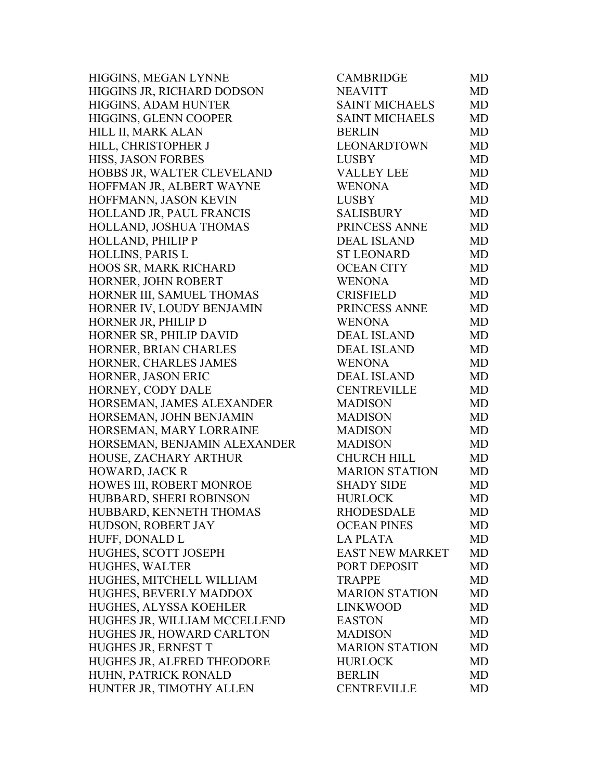HIGGINS, MEGAN LYNNE HIGGINS JR, RICHARD DODSON HIGGINS, ADAM HUNTER HIGGINS, GLENN COOPER HILL II, MARK ALAN HILL, CHRISTOPHER J HISS, JASON FORBES HOBBS JR, WALTER CLEVELAND HOFFMAN JR, ALBERT WAYNE HOFFMANN, JASON KEVIN HOLLAND JR, PAUL FRANCIS HOLLAND, JOSHUA THOMAS HOLLAND, PHILIP P HOLLINS, PARIS L HOOS SR, MARK RICHARD HORNER, JOHN ROBERT HORNER III, SAMUEL THOMAS HORNER IV, LOUDY BENJAMIN HORNER JR, PHILIP D HORNER SR, PHILIP DAVID HORNER, BRIAN CHARLES HORNER, CHARLES JAMES HORNER, JASON ERIC HORNEY, CODY DALE HORSEMAN, JAMES ALEXANDER HORSEMAN, JOHN BENJAMIN HORSEMAN, MARY LORRAINE HORSEMAN, BENJAMIN ALEXANDER HOUSE, ZACHARY ARTHUR HOWARD, JACK R HOWES III, ROBERT MONROE HUBBARD, SHERI ROBINSON HUBBARD, KENNETH THOMAS HUDSON, ROBERT JAY HUFF, DONALD L HUGHES, SCOTT JOSEPH HUGHES, WALTER HUGHES, MITCHELL WILLIAM HUGHES, BEVERLY MADDOX HUGHES, ALYSSA KOEHLER HUGHES JR, WILLIAM MCCELLEND HUGHES JR, HOWARD CARLTON HUGHES JR, ERNEST T HUGHES JR, ALFRED THEODORE HUHN, PATRICK RONALD HUNTER JR, TIMOTHY ALLEN

| CAMBRIDGE              | MD        |
|------------------------|-----------|
| <b>NEAVITT</b>         | <b>MD</b> |
| <b>SAINT MICHAELS</b>  | <b>MD</b> |
| <b>SAINT MICHAELS</b>  | <b>MD</b> |
| <b>BERLIN</b>          | <b>MD</b> |
| <b>LEONARDTOWN</b>     | <b>MD</b> |
| <b>LUSBY</b>           | <b>MD</b> |
| <b>VALLEY LEE</b>      | <b>MD</b> |
| <b>WENONA</b>          | <b>MD</b> |
| <b>LUSBY</b>           | <b>MD</b> |
| <b>SALISBURY</b>       | <b>MD</b> |
| PRINCESS ANNE          | <b>MD</b> |
| <b>DEAL ISLAND</b>     | <b>MD</b> |
| <b>ST LEONARD</b>      | <b>MD</b> |
| <b>OCEAN CITY</b>      | <b>MD</b> |
| <b>WENONA</b>          | <b>MD</b> |
| <b>CRISFIELD</b>       | <b>MD</b> |
| PRINCESS ANNE          | <b>MD</b> |
| <b>WENONA</b>          | <b>MD</b> |
| <b>DEAL ISLAND</b>     | <b>MD</b> |
| <b>DEAL ISLAND</b>     | <b>MD</b> |
| <b>WENONA</b>          | MD        |
| <b>DEAL ISLAND</b>     | <b>MD</b> |
| <b>CENTREVILLE</b>     | <b>MD</b> |
| <b>MADISON</b>         | <b>MD</b> |
| <b>MADISON</b>         | <b>MD</b> |
| <b>MADISON</b>         | <b>MD</b> |
| <b>MADISON</b>         | <b>MD</b> |
| <b>CHURCH HILL</b>     | <b>MD</b> |
| <b>MARION STATION</b>  | <b>MD</b> |
| <b>SHADY SIDE</b>      | <b>MD</b> |
| <b>HURLOCK</b>         | MD        |
| RHODESDALE             | <b>MD</b> |
| <b>OCEAN PINES</b>     | <b>MD</b> |
| <b>LA PLATA</b>        | <b>MD</b> |
| <b>EAST NEW MARKET</b> | MD        |
| PORT DEPOSIT           | <b>MD</b> |
| <b>TRAPPE</b>          | <b>MD</b> |
| <b>MARION STATION</b>  | <b>MD</b> |
| <b>LINKWOOD</b>        | <b>MD</b> |
| <b>EASTON</b>          | <b>MD</b> |
| <b>MADISON</b>         | <b>MD</b> |
| <b>MARION STATION</b>  | <b>MD</b> |
| <b>HURLOCK</b>         | <b>MD</b> |
| <b>BERLIN</b>          | <b>MD</b> |
| <b>CENTREVILLE</b>     | MD        |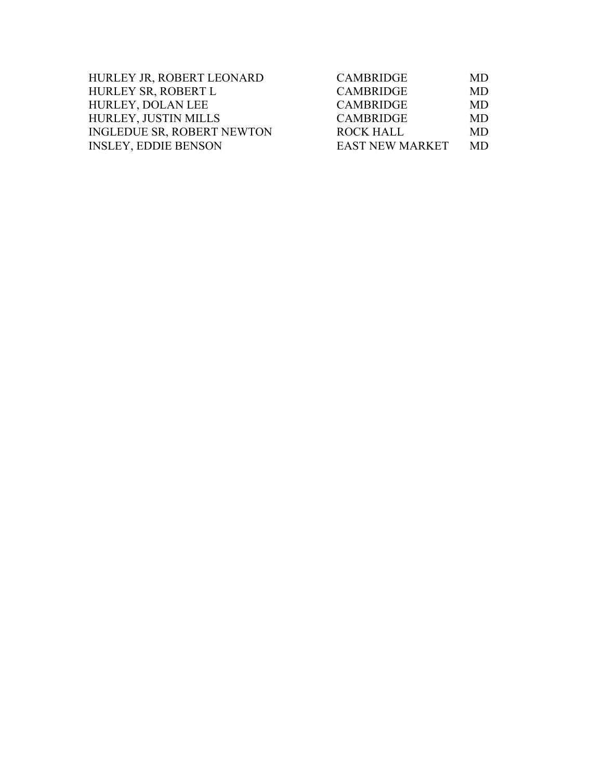| HURLEY JR, ROBERT LEONARD         | <b>CAMBRIDGE</b>       | MD.       |
|-----------------------------------|------------------------|-----------|
| HURLEY SR, ROBERT L               | <b>CAMBRIDGE</b>       | MD        |
| HURLEY, DOLAN LEE                 | <b>CAMBRIDGE</b>       | MD.       |
| <b>HURLEY, JUSTIN MILLS</b>       | <b>CAMBRIDGE</b>       | MD.       |
| <b>INGLEDUE SR, ROBERT NEWTON</b> | <b>ROCK HALL</b>       | <b>MD</b> |
| <b>INSLEY, EDDIE BENSON</b>       | <b>EAST NEW MARKET</b> | MD.       |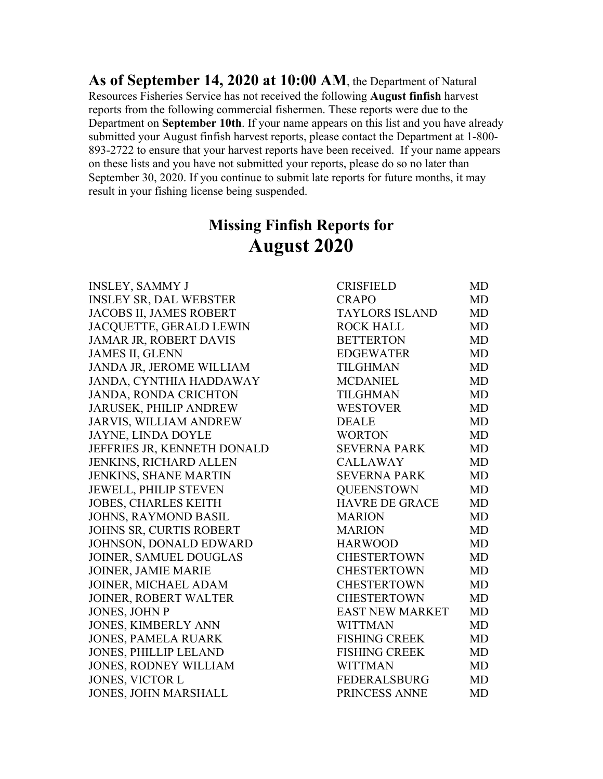**As of September 14, 2020 at 10:00 AM**, the Department of Natural Resources Fisheries Service has not received the following **August finfish** harvest reports from the following commercial fishermen. These reports were due to the Department on **September 10th**. If your name appears on this list and you have already submitted your August finfish harvest reports, please contact the Department at 1-800- 893-2722 to ensure that your harvest reports have been received. If your name appears on these lists and you have not submitted your reports, please do so no later than September 30, 2020. If you continue to submit late reports for future months, it may result in your fishing license being suspended.

## **Missing Finfish Reports for August 2020**

| <b>INSLEY, SAMMY J</b>        | <b>CRISFIELD</b>       | MD        |
|-------------------------------|------------------------|-----------|
| <b>INSLEY SR, DAL WEBSTER</b> | <b>CRAPO</b>           | <b>MD</b> |
| JACOBS II, JAMES ROBERT       | <b>TAYLORS ISLAND</b>  | <b>MD</b> |
| JACQUETTE, GERALD LEWIN       | <b>ROCK HALL</b>       | <b>MD</b> |
| JAMAR JR, ROBERT DAVIS        | <b>BETTERTON</b>       | <b>MD</b> |
| <b>JAMES II, GLENN</b>        | <b>EDGEWATER</b>       | <b>MD</b> |
| JANDA JR, JEROME WILLIAM      | <b>TILGHMAN</b>        | <b>MD</b> |
| JANDA, CYNTHIA HADDAWAY       | <b>MCDANIEL</b>        | MD        |
| <b>JANDA, RONDA CRICHTON</b>  | <b>TILGHMAN</b>        | <b>MD</b> |
| JARUSEK, PHILIP ANDREW        | <b>WESTOVER</b>        | <b>MD</b> |
| <b>JARVIS, WILLIAM ANDREW</b> | <b>DEALE</b>           | <b>MD</b> |
| <b>JAYNE, LINDA DOYLE</b>     | <b>WORTON</b>          | MD        |
| JEFFRIES JR, KENNETH DONALD   | <b>SEVERNA PARK</b>    | <b>MD</b> |
| JENKINS, RICHARD ALLEN        | <b>CALLAWAY</b>        | <b>MD</b> |
| JENKINS, SHANE MARTIN         | <b>SEVERNA PARK</b>    | <b>MD</b> |
| <b>JEWELL, PHILIP STEVEN</b>  | <b>QUEENSTOWN</b>      | <b>MD</b> |
| JOBES, CHARLES KEITH          | <b>HAVRE DE GRACE</b>  | <b>MD</b> |
| <b>JOHNS, RAYMOND BASIL</b>   | <b>MARION</b>          | <b>MD</b> |
| JOHNS SR, CURTIS ROBERT       | <b>MARION</b>          | <b>MD</b> |
| JOHNSON, DONALD EDWARD        | <b>HARWOOD</b>         | <b>MD</b> |
| JOINER, SAMUEL DOUGLAS        | <b>CHESTERTOWN</b>     | <b>MD</b> |
| <b>JOINER, JAMIE MARIE</b>    | <b>CHESTERTOWN</b>     | <b>MD</b> |
| JOINER, MICHAEL ADAM          | <b>CHESTERTOWN</b>     | <b>MD</b> |
| JOINER, ROBERT WALTER         | <b>CHESTERTOWN</b>     | <b>MD</b> |
| JONES, JOHN P                 | <b>EAST NEW MARKET</b> | <b>MD</b> |
| <b>JONES, KIMBERLY ANN</b>    | <b>WITTMAN</b>         | <b>MD</b> |
| <b>JONES, PAMELA RUARK</b>    | <b>FISHING CREEK</b>   | <b>MD</b> |
| JONES, PHILLIP LELAND         | <b>FISHING CREEK</b>   | <b>MD</b> |
| <b>JONES, RODNEY WILLIAM</b>  | <b>WITTMAN</b>         | <b>MD</b> |
| <b>JONES, VICTOR L</b>        | <b>FEDERALSBURG</b>    | <b>MD</b> |
| <b>JONES, JOHN MARSHALL</b>   | PRINCESS ANNE          | <b>MD</b> |
|                               |                        |           |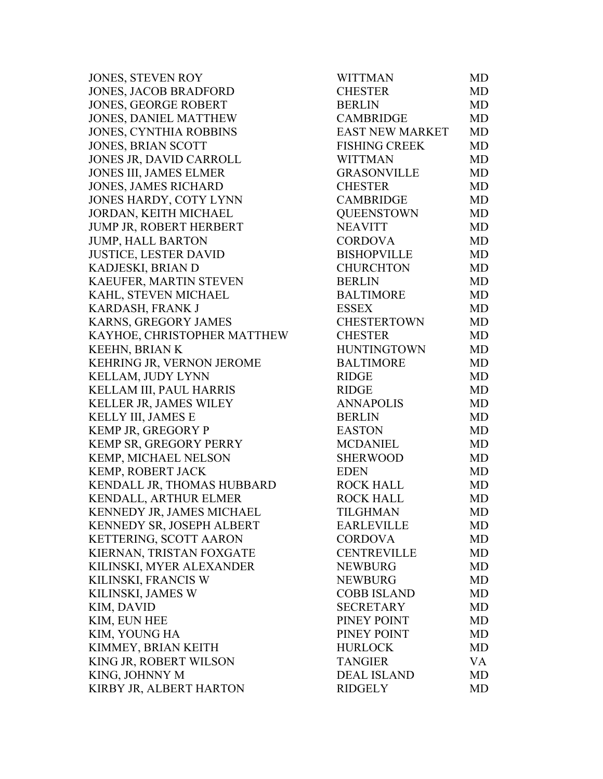JONES, STEVEN ROY JONES, JACOB BRADFORD JONES, GEORGE ROBERT JONES, DANIEL MATTHEW JONES, CYNTHIA ROBBINS JONES, BRIAN SCOTT JONES JR, DAVID CARROLL JONES III, JAMES ELMER JONES, JAMES RICHARD JONES HARDY, COTY LYNN JORDAN, KEITH MICHAEL JUMP JR, ROBERT HERBERT JUMP, HALL BARTON JUSTICE, LESTER DAVID KADJESKI, BRIAN D KAEUFER, MARTIN STEVEN KAHL, STEVEN MICHAEL KARDASH, FRANK J KARNS, GREGORY JAMES KAYHOE, CHRISTOPHER MATTHEW KEEHN, BRIAN K KEHRING JR, VERNON JEROME KELLAM, JUDY LYNN KELLAM III, PAUL HARRIS KELLER JR, JAMES WILEY KELLY III, JAMES E KEMP JR, GREGORY P KEMP SR, GREGORY PERRY KEMP, MICHAEL NELSON KEMP, ROBERT JACK KENDALL JR, THOMAS HUBBARD KENDALL, ARTHUR ELMER KENNEDY JR, JAMES MICHAEL KENNEDY SR, JOSEPH ALBERT KETTERING, SCOTT AARON KIERNAN, TRISTAN FOXGATE KILINSKI, MYER ALEXANDER KILINSKI, FRANCIS W KILINSKI, JAMES W KIM, DAVID KIM, EUN HEE KIM, YOUNG HA KIMMEY, BRIAN KEITH KING JR, ROBERT WILSON KING, JOHNNY M KIRBY JR, ALBERT HARTON

| WITTMAN                | <b>MD</b> |
|------------------------|-----------|
| <b>CHESTER</b>         | MD        |
| <b>BERLIN</b>          | MD        |
| <b>CAMBRIDGE</b>       | <b>MD</b> |
| <b>EAST NEW MARKET</b> | <b>MD</b> |
| <b>FISHING CREEK</b>   | <b>MD</b> |
| <b>WITTMAN</b>         | <b>MD</b> |
| <b>GRASONVILLE</b>     | <b>MD</b> |
| <b>CHESTER</b>         | <b>MD</b> |
| <b>CAMBRIDGE</b>       | <b>MD</b> |
| <b>QUEENSTOWN</b>      | <b>MD</b> |
| <b>NEAVITT</b>         | <b>MD</b> |
| <b>CORDOVA</b>         | <b>MD</b> |
| <b>BISHOPVILLE</b>     | <b>MD</b> |
| <b>CHURCHTON</b>       | <b>MD</b> |
| <b>BERLIN</b>          | <b>MD</b> |
| <b>BALTIMORE</b>       | <b>MD</b> |
| <b>ESSEX</b>           | <b>MD</b> |
| <b>CHESTERTOWN</b>     | <b>MD</b> |
| <b>CHESTER</b>         | <b>MD</b> |
| <b>HUNTINGTOWN</b>     | <b>MD</b> |
| <b>BALTIMORE</b>       | MD        |
| <b>RIDGE</b>           | MD        |
| <b>RIDGE</b>           | <b>MD</b> |
| <b>ANNAPOLIS</b>       | <b>MD</b> |
| <b>BERLIN</b>          | <b>MD</b> |
| <b>EASTON</b>          | <b>MD</b> |
| <b>MCDANIEL</b>        | <b>MD</b> |
| <b>SHERWOOD</b>        | <b>MD</b> |
| <b>EDEN</b>            | <b>MD</b> |
| <b>ROCK HALL</b>       | MD        |
| <b>ROCK HALL</b>       | <b>MD</b> |
| <b>TILGHMAN</b>        | MD        |
| <b>EARLEVILLE</b>      | MD        |
| <b>CORDOVA</b>         | <b>MD</b> |
| <b>CENTREVILLE</b>     | MD        |
| <b>NEWBURG</b>         | <b>MD</b> |
| <b>NEWBURG</b>         | <b>MD</b> |
| <b>COBB ISLAND</b>     | MD        |
| <b>SECRETARY</b>       | <b>MD</b> |
| PINEY POINT            | MD        |
| PINEY POINT            | <b>MD</b> |
| <b>HURLOCK</b>         | MD        |
| <b>TANGIER</b>         | VA        |
| <b>DEAL ISLAND</b>     | <b>MD</b> |
| <b>RIDGELY</b>         | MD        |
|                        |           |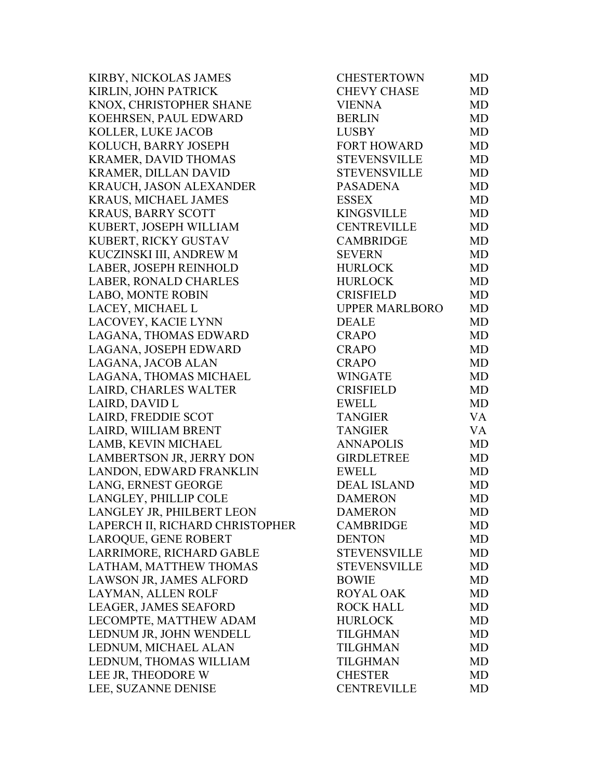KIRBY, NICKOLAS JAMES KIRLIN, JOHN PATRICK KNOX, CHRISTOPHER SHANE KOEHRSEN, PAUL EDWARD KOLLER, LUKE JACOB KOLUCH, BARRY JOSEPH KRAMER, DAVID THOMAS KRAMER, DILLAN DAVID KRAUCH, JASON ALEXANDER KRAUS, MICHAEL JAMES KRAUS, BARRY SCOTT KUBERT, JOSEPH WILLIAM KUBERT, RICKY GUSTAV KUCZINSKI III, ANDREW M LABER, JOSEPH REINHOLD LABER, RONALD CHARLES LABO, MONTE ROBIN LACEY, MICHAEL L LACOVEY, KACIE LYNN LAGANA, THOMAS EDWARD LAGANA, JOSEPH EDWARD LAGANA, JACOB ALAN LAGANA, THOMAS MICHAEL LAIRD, CHARLES WALTER LAIRD, DAVID L LAIRD, FREDDIE SCOT LAIRD, WIILIAM BRENT LAMB, KEVIN MICHAEL LAMBERTSON JR, JERRY DON LANDON, EDWARD FRANKLIN LANG, ERNEST GEORGE LANGLEY, PHILLIP COLE LANGLEY JR, PHILBERT LEON LAPERCH II, RICHARD CHRISTOPHER LAROQUE, GENE ROBERT LARRIMORE, RICHARD GABLE LATHAM, MATTHEW THOMAS LAWSON JR, JAMES ALFORD LAYMAN, ALLEN ROLF LEAGER, JAMES SEAFORD LECOMPTE, MATTHEW ADAM LEDNUM JR, JOHN WENDELL LEDNUM, MICHAEL ALAN LEDNUM, THOMAS WILLIAM LEE JR, THEODORE W LEE, SUZANNE DENISE

| CHESTERTOWN           | MD        |
|-----------------------|-----------|
| <b>CHEVY CHASE</b>    | <b>MD</b> |
| <b>VIENNA</b>         | <b>MD</b> |
| <b>BERLIN</b>         | <b>MD</b> |
| <b>LUSBY</b>          | <b>MD</b> |
| <b>FORT HOWARD</b>    | <b>MD</b> |
| <b>STEVENSVILLE</b>   | <b>MD</b> |
| <b>STEVENSVILLE</b>   | <b>MD</b> |
| <b>PASADENA</b>       | <b>MD</b> |
| <b>ESSEX</b>          | <b>MD</b> |
| <b>KINGSVILLE</b>     | <b>MD</b> |
| <b>CENTREVILLE</b>    | MD        |
| <b>CAMBRIDGE</b>      | <b>MD</b> |
| <b>SEVERN</b>         | <b>MD</b> |
| <b>HURLOCK</b>        | <b>MD</b> |
| <b>HURLOCK</b>        | <b>MD</b> |
| <b>CRISFIELD</b>      | <b>MD</b> |
| <b>UPPER MARLBORO</b> | <b>MD</b> |
| <b>DEALE</b>          | <b>MD</b> |
| <b>CRAPO</b>          | <b>MD</b> |
| <b>CRAPO</b>          | <b>MD</b> |
| <b>CRAPO</b>          | <b>MD</b> |
| <b>WINGATE</b>        | <b>MD</b> |
| <b>CRISFIELD</b>      | <b>MD</b> |
| <b>EWELL</b>          | <b>MD</b> |
| <b>TANGIER</b>        | <b>VA</b> |
| <b>TANGIER</b>        | <b>VA</b> |
| <b>ANNAPOLIS</b>      | <b>MD</b> |
| <b>GIRDLETREE</b>     | <b>MD</b> |
| <b>EWELL</b>          | <b>MD</b> |
| <b>DEAL ISLAND</b>    | <b>MD</b> |
| <b>DAMERON</b>        | <b>MD</b> |
| <b>DAMERON</b>        | <b>MD</b> |
| <b>CAMBRIDGE</b>      | MD        |
| <b>DENTON</b>         | <b>MD</b> |
| <b>STEVENSVILLE</b>   | <b>MD</b> |
| <b>STEVENSVILLE</b>   | <b>MD</b> |
| <b>BOWIE</b>          | <b>MD</b> |
| <b>ROYAL OAK</b>      | <b>MD</b> |
| <b>ROCK HALL</b>      | <b>MD</b> |
| <b>HURLOCK</b>        | <b>MD</b> |
| <b>TILGHMAN</b>       | <b>MD</b> |
| <b>TILGHMAN</b>       | <b>MD</b> |
| <b>TILGHMAN</b>       | <b>MD</b> |
| <b>CHESTER</b>        | <b>MD</b> |
| <b>CENTREVILLE</b>    | MD        |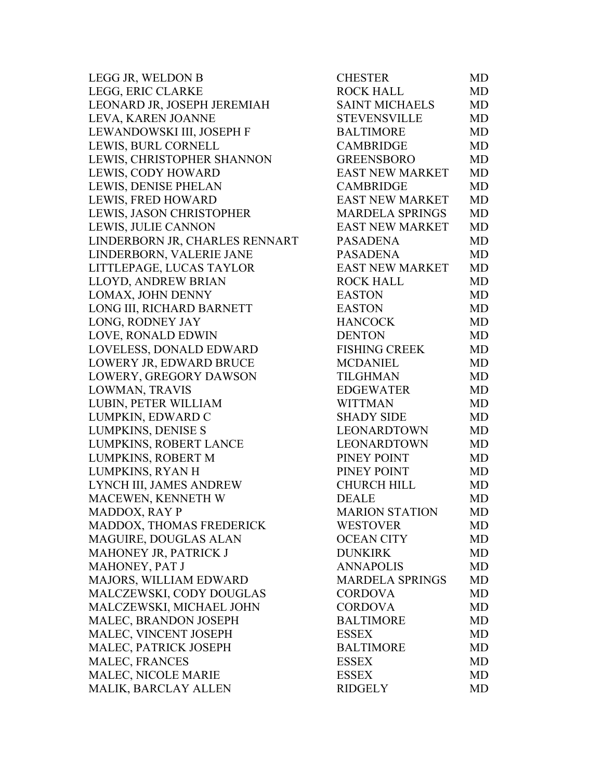| LEGG JR, WELDON B              | <b>CHESTER</b>         | MD        |
|--------------------------------|------------------------|-----------|
| LEGG, ERIC CLARKE              | <b>ROCK HALL</b>       | <b>MD</b> |
| LEONARD JR, JOSEPH JEREMIAH    | <b>SAINT MICHAELS</b>  | <b>MD</b> |
| LEVA, KAREN JOANNE             | <b>STEVENSVILLE</b>    | MD        |
| LEWANDOWSKI III, JOSEPH F      | <b>BALTIMORE</b>       | <b>MD</b> |
| LEWIS, BURL CORNELL            | <b>CAMBRIDGE</b>       | <b>MD</b> |
| LEWIS, CHRISTOPHER SHANNON     | <b>GREENSBORO</b>      | <b>MD</b> |
| LEWIS, CODY HOWARD             | <b>EAST NEW MARKET</b> | <b>MD</b> |
| LEWIS, DENISE PHELAN           | <b>CAMBRIDGE</b>       | <b>MD</b> |
| LEWIS, FRED HOWARD             | <b>EAST NEW MARKET</b> | <b>MD</b> |
| LEWIS, JASON CHRISTOPHER       | <b>MARDELA SPRINGS</b> | <b>MD</b> |
| LEWIS, JULIE CANNON            | <b>EAST NEW MARKET</b> | <b>MD</b> |
| LINDERBORN JR, CHARLES RENNART | <b>PASADENA</b>        | <b>MD</b> |
| LINDERBORN, VALERIE JANE       | <b>PASADENA</b>        | <b>MD</b> |
| LITTLEPAGE, LUCAS TAYLOR       | <b>EAST NEW MARKET</b> | <b>MD</b> |
| LLOYD, ANDREW BRIAN            | <b>ROCK HALL</b>       | <b>MD</b> |
| LOMAX, JOHN DENNY              | <b>EASTON</b>          | MD        |
| LONG III, RICHARD BARNETT      | <b>EASTON</b>          | MD        |
| LONG, RODNEY JAY               | <b>HANCOCK</b>         | <b>MD</b> |
| LOVE, RONALD EDWIN             | <b>DENTON</b>          | <b>MD</b> |
| LOVELESS, DONALD EDWARD        | <b>FISHING CREEK</b>   | <b>MD</b> |
| LOWERY JR, EDWARD BRUCE        | <b>MCDANIEL</b>        | <b>MD</b> |
| LOWERY, GREGORY DAWSON         | <b>TILGHMAN</b>        | <b>MD</b> |
| LOWMAN, TRAVIS                 | <b>EDGEWATER</b>       | <b>MD</b> |
| LUBIN, PETER WILLIAM           | <b>WITTMAN</b>         | <b>MD</b> |
| LUMPKIN, EDWARD C              | <b>SHADY SIDE</b>      | <b>MD</b> |
| LUMPKINS, DENISE S             | LEONARDTOWN            | <b>MD</b> |
| LUMPKINS, ROBERT LANCE         | LEONARDTOWN            | <b>MD</b> |
| LUMPKINS, ROBERT M             | PINEY POINT            | <b>MD</b> |
| LUMPKINS, RYAN H               | PINEY POINT            | <b>MD</b> |
| LYNCH III, JAMES ANDREW        | <b>CHURCH HILL</b>     | <b>MD</b> |
| MACEWEN, KENNETH W             | <b>DEALE</b>           | <b>MD</b> |
| MADDOX, RAY P                  | <b>MARION STATION</b>  | MD        |
| MADDOX, THOMAS FREDERICK       | <b>WESTOVER</b>        | MD        |
| MAGUIRE, DOUGLAS ALAN          | <b>OCEAN CITY</b>      | <b>MD</b> |
| MAHONEY JR, PATRICK J          | <b>DUNKIRK</b>         | <b>MD</b> |
| MAHONEY, PAT J                 | <b>ANNAPOLIS</b>       | <b>MD</b> |
| MAJORS, WILLIAM EDWARD         | <b>MARDELA SPRINGS</b> | MD        |
| MALCZEWSKI, CODY DOUGLAS       | <b>CORDOVA</b>         | <b>MD</b> |
| MALCZEWSKI, MICHAEL JOHN       | <b>CORDOVA</b>         | <b>MD</b> |
| MALEC, BRANDON JOSEPH          | <b>BALTIMORE</b>       | MD        |
| MALEC, VINCENT JOSEPH          | <b>ESSEX</b>           | <b>MD</b> |
| MALEC, PATRICK JOSEPH          | <b>BALTIMORE</b>       | <b>MD</b> |
| MALEC, FRANCES                 | <b>ESSEX</b>           | <b>MD</b> |
| MALEC, NICOLE MARIE            | <b>ESSEX</b>           | <b>MD</b> |
| MALIK, BARCLAY ALLEN           | <b>RIDGELY</b>         | <b>MD</b> |
|                                |                        |           |

| CHESTER                | MD        |
|------------------------|-----------|
| <b>ROCK HALL</b>       | <b>MD</b> |
| <b>SAINT MICHAELS</b>  | MD        |
| STEVENSVILLE           | MD        |
| <b>BALTIMORE</b>       | <b>MD</b> |
| <b>CAMBRIDGE</b>       | <b>MD</b> |
| <b>GREENSBORO</b>      | <b>MD</b> |
| <b>EAST NEW MARKET</b> | MD        |
| <b>CAMBRIDGE</b>       | <b>MD</b> |
| EAST NEW MARKET        | <b>MD</b> |
| <b>MARDELA SPRINGS</b> | <b>MD</b> |
| EAST NEW MARKET        | MD        |
| <b>PASADENA</b>        | MD        |
| <b>PASADENA</b>        | <b>MD</b> |
| <b>EAST NEW MARKET</b> | <b>MD</b> |
| <b>ROCK HALL</b>       | <b>MD</b> |
| <b>EASTON</b>          | MD        |
| <b>EASTON</b>          | MD        |
| <b>HANCOCK</b>         | <b>MD</b> |
| <b>DENTON</b>          | <b>MD</b> |
| <b>FISHING CREEK</b>   | <b>MD</b> |
| <b>MCDANIEL</b>        | MD        |
| <b>TILGHMAN</b>        | MD        |
| <b>EDGEWATER</b>       | MD        |
| <b>WITTMAN</b>         | <b>MD</b> |
| <b>SHADY SIDE</b>      | <b>MD</b> |
| <b>LEONARDTOWN</b>     | <b>MD</b> |
| <b>LEONARDTOWN</b>     | <b>MD</b> |
| PINEY POINT            | <b>MD</b> |
| PINEY POINT            | MD        |
| <b>CHURCH HILL</b>     | MD        |
| <b>DEALE</b>           | MD        |
| <b>MARION STATION</b>  | MD        |
| <b>WESTOVER</b>        | MD        |
| <b>OCEAN CITY</b>      | <b>MD</b> |
| <b>DUNKIRK</b>         | MD        |
| <b>ANNAPOLIS</b>       | <b>MD</b> |
| <b>MARDELA SPRINGS</b> | MD        |
| <b>CORDOVA</b>         | <b>MD</b> |
| <b>CORDOVA</b>         | <b>MD</b> |
| <b>BALTIMORE</b>       | MD        |
| <b>ESSEX</b>           | <b>MD</b> |
| <b>BALTIMORE</b>       | MD        |
| <b>ESSEX</b>           | <b>MD</b> |
| <b>ESSEX</b>           | MD        |
| <b>RIDGELY</b>         | MD        |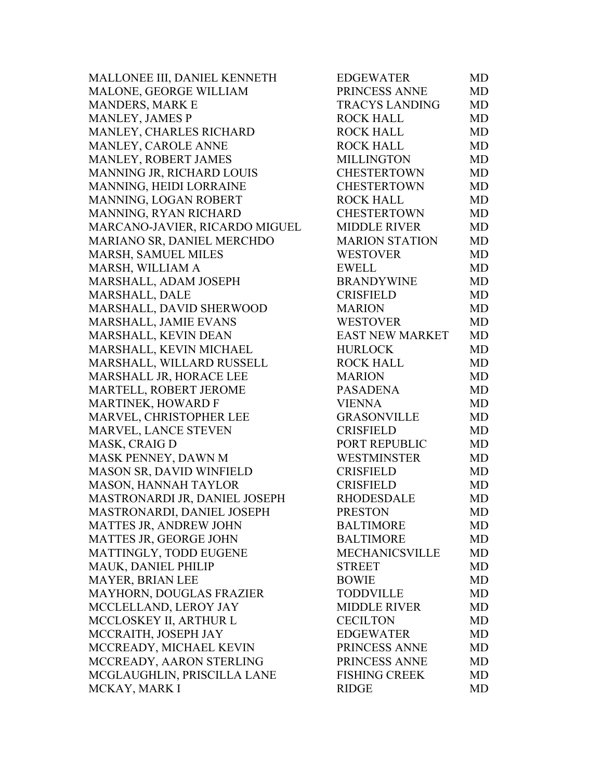MALLONEE III, DANIEL KENNETH MALONE, GEORGE WILLIAM MANDERS, MARK E MANLEY, JAMES P MANLEY, CHARLES RICHARD MANLEY, CAROLE ANNE MANLEY, ROBERT JAMES MANNING JR, RICHARD LOUIS MANNING, HEIDI LORRAINE MANNING, LOGAN ROBERT MANNING, RYAN RICHARD MARCANO-JAVIER, RICARDO MIGUEL MARIANO SR, DANIEL MERCHDO MARSH, SAMUEL MILES MARSH, WILLIAM A MARSHALL, ADAM JOSEPH MARSHALL, DALE MARSHALL, DAVID SHERWOOD MARSHALL, JAMIE EVANS MARSHALL, KEVIN DEAN MARSHALL, KEVIN MICHAEL MARSHALL, WILLARD RUSSELL MARSHALL JR, HORACE LEE MARTELL, ROBERT JEROME MARTINEK, HOWARD F MARVEL, CHRISTOPHER LEE MARVEL, LANCE STEVEN MASK, CRAIG D MASK PENNEY, DAWN M MASON SR, DAVID WINFIELD MASON, HANNAH TAYLOR MASTRONARDI JR, DANIEL JOSEPH MASTRONARDI, DANIEL JOSEPH MATTES JR, ANDREW JOHN MATTES JR, GEORGE JOHN MATTINGLY, TODD EUGENE MAUK, DANIEL PHILIP MAYER, BRIAN LEE MAYHORN, DOUGLAS FRAZIER MCCLELLAND, LEROY JAY MCCLOSKEY II, ARTHUR L MCCRAITH, JOSEPH JAY MCCREADY, MICHAEL KEVIN MCCREADY, AARON STERLING MCGLAUGHLIN, PRISCILLA LANE MCKAY, MARK I

| EDGEWATER              | MD        |
|------------------------|-----------|
| PRINCESS ANNE          | <b>MD</b> |
| TRACYS LANDING         | <b>MD</b> |
| <b>ROCK HALL</b>       | <b>MD</b> |
| <b>ROCK HALL</b>       | <b>MD</b> |
| <b>ROCK HALL</b>       | <b>MD</b> |
| <b>MILLINGTON</b>      | <b>MD</b> |
| <b>CHESTERTOWN</b>     | <b>MD</b> |
| <b>CHESTERTOWN</b>     | <b>MD</b> |
| <b>ROCK HALL</b>       | <b>MD</b> |
| <b>CHESTERTOWN</b>     | <b>MD</b> |
| <b>MIDDLE RIVER</b>    | <b>MD</b> |
| <b>MARION STATION</b>  | <b>MD</b> |
| <b>WESTOVER</b>        | <b>MD</b> |
| <b>EWELL</b>           | <b>MD</b> |
| <b>BRANDYWINE</b>      | <b>MD</b> |
| <b>CRISFIELD</b>       | <b>MD</b> |
| <b>MARION</b>          | <b>MD</b> |
| <b>WESTOVER</b>        | <b>MD</b> |
| <b>EAST NEW MARKET</b> | <b>MD</b> |
| <b>HURLOCK</b>         | <b>MD</b> |
| <b>ROCK HALL</b>       | <b>MD</b> |
| <b>MARION</b>          | <b>MD</b> |
| <b>PASADENA</b>        | MD        |
| <b>VIENNA</b>          | <b>MD</b> |
| <b>GRASONVILLE</b>     | <b>MD</b> |
| <b>CRISFIELD</b>       | <b>MD</b> |
| <b>PORT REPUBLIC</b>   | <b>MD</b> |
| <b>WESTMINSTER</b>     | <b>MD</b> |
| <b>CRISFIELD</b>       | <b>MD</b> |
| <b>CRISFIELD</b>       | <b>MD</b> |
| <b>RHODESDALE</b>      | <b>MD</b> |
| <b>PRESTON</b>         | MD        |
| <b>BALTIMORE</b>       | <b>MD</b> |
| <b>BALTIMORE</b>       | <b>MD</b> |
| <b>MECHANICSVILLE</b>  | <b>MD</b> |
| <b>STREET</b>          | MD        |
| <b>BOWIE</b>           | <b>MD</b> |
| <b>TODDVILLE</b>       | <b>MD</b> |
| <b>MIDDLE RIVER</b>    | MD        |
| <b>CECILTON</b>        | <b>MD</b> |
| <b>EDGEWATER</b>       | <b>MD</b> |
| PRINCESS ANNE          | <b>MD</b> |
| PRINCESS ANNE          | MD        |
| <b>FISHING CREEK</b>   | <b>MD</b> |
| <b>RIDGE</b>           | <b>MD</b> |
|                        |           |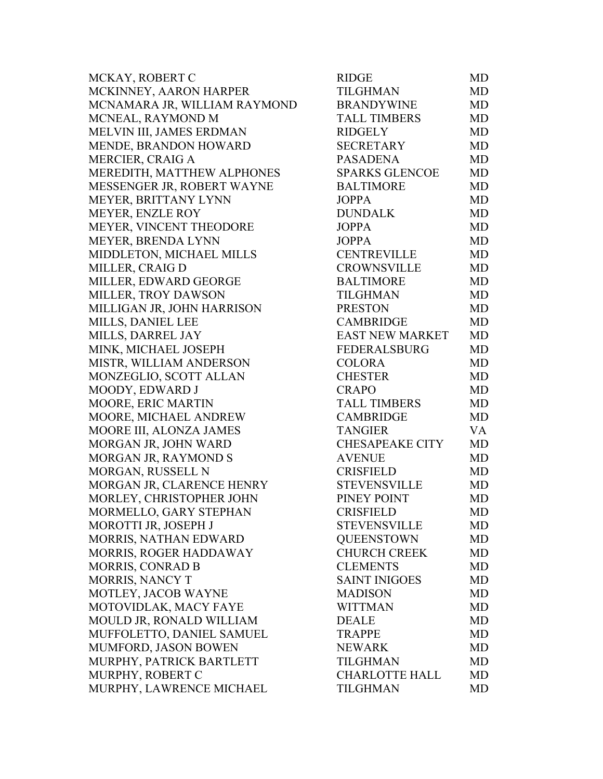| MCKAY, ROBERT C              | <b>RIDGE</b>           | MD.       |
|------------------------------|------------------------|-----------|
| MCKINNEY, AARON HARPER       | <b>TILGHMAN</b>        | MD        |
| MCNAMARA JR, WILLIAM RAYMOND | <b>BRANDYWINE</b>      | MD        |
| MCNEAL, RAYMOND M            | <b>TALL TIMBERS</b>    | MD        |
| MELVIN III, JAMES ERDMAN     | <b>RIDGELY</b>         | MD        |
| MENDE, BRANDON HOWARD        | <b>SECRETARY</b>       | MD        |
| MERCIER, CRAIG A             | <b>PASADENA</b>        | MD        |
| MEREDITH, MATTHEW ALPHONES   | <b>SPARKS GLENCOE</b>  | MD        |
| MESSENGER JR, ROBERT WAYNE   | <b>BALTIMORE</b>       | MD        |
| MEYER, BRITTANY LYNN         | <b>JOPPA</b>           | MD        |
| <b>MEYER, ENZLE ROY</b>      | <b>DUNDALK</b>         | MD        |
| MEYER, VINCENT THEODORE      | <b>JOPPA</b>           | MD        |
| <b>MEYER, BRENDA LYNN</b>    | <b>JOPPA</b>           | MD        |
| MIDDLETON, MICHAEL MILLS     | <b>CENTREVILLE</b>     | MD        |
| MILLER, CRAIG D              | <b>CROWNSVILLE</b>     | MD        |
| MILLER, EDWARD GEORGE        | <b>BALTIMORE</b>       | <b>MD</b> |
| MILLER, TROY DAWSON          | <b>TILGHMAN</b>        | MD        |
| MILLIGAN JR, JOHN HARRISON   | <b>PRESTON</b>         | MD        |
| MILLS, DANIEL LEE            | <b>CAMBRIDGE</b>       | MD        |
| MILLS, DARREL JAY            | <b>EAST NEW MARKET</b> | MD        |
| MINK, MICHAEL JOSEPH         | <b>FEDERALSBURG</b>    | MD        |
| MISTR, WILLIAM ANDERSON      | <b>COLORA</b>          | MD        |
| MONZEGLIO, SCOTT ALLAN       | <b>CHESTER</b>         | MD        |
| MOODY, EDWARD J              | <b>CRAPO</b>           | MD        |
| MOORE, ERIC MARTIN           | <b>TALL TIMBERS</b>    | MD        |
| MOORE, MICHAEL ANDREW        | <b>CAMBRIDGE</b>       | MD        |
| MOORE III, ALONZA JAMES      | <b>TANGIER</b>         | VA        |
| MORGAN JR, JOHN WARD         | <b>CHESAPEAKE CITY</b> | MD        |
| MORGAN JR, RAYMOND S         | <b>AVENUE</b>          | MD        |
| MORGAN, RUSSELL N            | <b>CRISFIELD</b>       | MD        |
| MORGAN JR, CLARENCE HENRY    | <b>STEVENSVILLE</b>    | MD        |
| MORLEY, CHRISTOPHER JOHN     | PINEY POINT            | MD        |
| MORMELLO, GARY STEPHAN       | <b>CRISFIELD</b>       | MD        |
| MOROTTI JR, JOSEPH J         | <b>STEVENSVILLE</b>    | MD        |
| MORRIS, NATHAN EDWARD        | <b>QUEENSTOWN</b>      | MD        |
| MORRIS, ROGER HADDAWAY       | <b>CHURCH CREEK</b>    | MD        |
| <b>MORRIS, CONRAD B</b>      | <b>CLEMENTS</b>        | MD        |
| MORRIS, NANCY T              | <b>SAINT INIGOES</b>   | MD        |
| MOTLEY, JACOB WAYNE          | <b>MADISON</b>         | MD        |
| MOTOVIDLAK, MACY FAYE        | <b>WITTMAN</b>         | MD        |
| MOULD JR, RONALD WILLIAM     | <b>DEALE</b>           | MD        |
| MUFFOLETTO, DANIEL SAMUEL    | <b>TRAPPE</b>          | MD        |
| MUMFORD, JASON BOWEN         | <b>NEWARK</b>          | MD        |
| MURPHY, PATRICK BARTLETT     | <b>TILGHMAN</b>        | MD        |
| MURPHY, ROBERT C             | <b>CHARLOTTE HALL</b>  | MD        |
| MURPHY, LAWRENCE MICHAEL     | <b>TILGHMAN</b>        | MD        |
|                              |                        |           |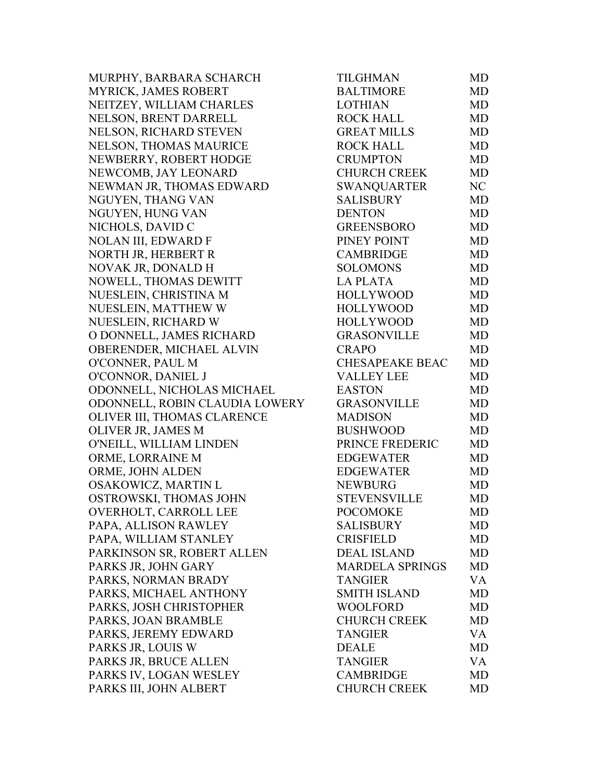MURPHY, BARBARA SCHARCH MYRICK, JAMES ROBERT NEITZEY, WILLIAM CHARLES NELSON, BRENT DARRELL NELSON, RICHARD STEVEN NELSON, THOMAS MAURICE NEWBERRY, ROBERT HODGE NEWCOMB, JAY LEONARD NEWMAN JR, THOMAS EDWARD NGUYEN, THANG VAN NGUYEN, HUNG VAN NICHOLS, DAVID C NOLAN III, EDWARD F NORTH JR, HERBERT R NOVAK JR, DONALD H NOWELL, THOMAS DEWITT NUESLEIN, CHRISTINA M NUESLEIN, MATTHEW W NUESLEIN, RICHARD W O DONNELL, JAMES RICHARD OBERENDER, MICHAEL ALVIN O'CONNER, PAUL M O'CONNOR, DANIEL J ODONNELL, NICHOLAS MICHAEL ODONNELL, ROBIN CLAUDIA LOWERY OLIVER III, THOMAS CLARENCE OLIVER JR, JAMES M O'NEILL, WILLIAM LINDEN ORME, LORRAINE M ORME, JOHN ALDEN OSAKOWICZ, MARTIN L OSTROWSKI, THOMAS JOHN OVERHOLT, CARROLL LEE PAPA, ALLISON RAWLEY PAPA, WILLIAM STANLEY PARKINSON SR, ROBERT ALLEN PARKS JR, JOHN GARY PARKS, NORMAN BRADY PARKS, MICHAEL ANTHONY PARKS, JOSH CHRISTOPHER PARKS, JOAN BRAMBLE PARKS, JEREMY EDWARD PARKS JR, LOUIS W PARKS JR, BRUCE ALLEN PARKS IV, LOGAN WESLEY PARKS III, JOHN ALBERT

| TILGHMAN               | MD        |
|------------------------|-----------|
| <b>BALTIMORE</b>       | <b>MD</b> |
| <b>LOTHIAN</b>         | <b>MD</b> |
| <b>ROCK HALL</b>       | <b>MD</b> |
| <b>GREAT MILLS</b>     | <b>MD</b> |
| <b>ROCK HALL</b>       | <b>MD</b> |
| <b>CRUMPTON</b>        | <b>MD</b> |
| CHURCH CREEK           | <b>MD</b> |
| SWANQUARTER            | NC        |
| <b>SALISBURY</b>       | <b>MD</b> |
| <b>DENTON</b>          | <b>MD</b> |
| <b>GREENSBORO</b>      | <b>MD</b> |
| PINEY POINT            | <b>MD</b> |
| <b>CAMBRIDGE</b>       | <b>MD</b> |
| <b>SOLOMONS</b>        | <b>MD</b> |
| <b>LA PLATA</b>        | <b>MD</b> |
| <b>HOLLYWOOD</b>       | <b>MD</b> |
| <b>HOLLYWOOD</b>       | <b>MD</b> |
| <b>HOLLYWOOD</b>       | <b>MD</b> |
| <b>GRASONVILLE</b>     | <b>MD</b> |
| <b>CRAPO</b>           | MD        |
| <b>CHESAPEAKE BEAC</b> | <b>MD</b> |
| <b>VALLEY LEE</b>      | <b>MD</b> |
| <b>EASTON</b>          | <b>MD</b> |
| <b>GRASONVILLE</b>     | <b>MD</b> |
| <b>MADISON</b>         | <b>MD</b> |
| <b>BUSHWOOD</b>        | <b>MD</b> |
| PRINCE FREDERIC        | <b>MD</b> |
| <b>EDGEWATER</b>       | <b>MD</b> |
| <b>EDGEWATER</b>       | <b>MD</b> |
| <b>NEWBURG</b>         | MD        |
| <b>STEVENSVILLE</b>    | <b>MD</b> |
| <b>POCOMOKE</b>        | MD        |
| <b>SALISBURY</b>       | MD        |
| <b>CRISFIELD</b>       | MD        |
| <b>DEAL ISLAND</b>     | MD        |
| <b>MARDELA SPRINGS</b> | <b>MD</b> |
| <b>TANGIER</b>         | VA        |
| <b>SMITH ISLAND</b>    | MD        |
| WOOLFORD               | <b>MD</b> |
| <b>CHURCH CREEK</b>    | MD        |
| TANGIER                | VA        |
| <b>DEALE</b>           | MD        |
| <b>TANGIER</b>         | <b>VA</b> |
| <b>CAMBRIDGE</b>       | MD        |
| <b>CHURCH CREEK</b>    | <b>MD</b> |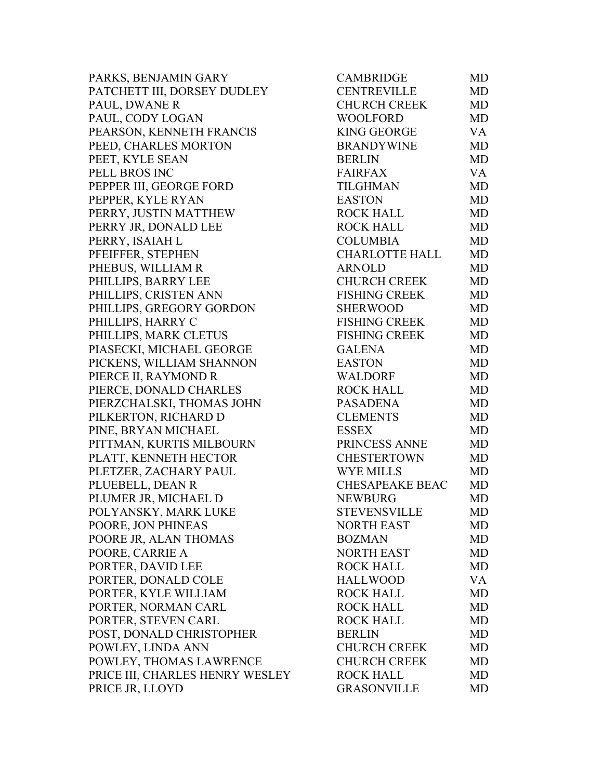PARKS, BENJAMIN GARY PATCHETT III, DORSEY DUDLEY PAUL, DWANE R PAUL, CODY LOGAN PEARSON, KENNETH FRANCIS PEED, CHARLES MORTON PEET, KYLE SEAN PELL BROS INC PEPPER III, GEORGE FORD PEPPER, KYLE RYAN PERRY, JUSTIN MATTHEW PERRY JR, DONALD LEE PERRY, ISAIAH L PFEIFFER, STEPHEN PHEBUS, WILLIAM R PHILLIPS, BARRY LEE PHILLIPS, CRISTEN ANN PHILLIPS, GREGORY GORDON PHILLIPS, HARRY C PHILLIPS, MARK CLETUS PIASECKI, MICHAEL GEORGE PICKENS, WILLIAM SHANNON PIERCE II, RAYMOND R PIERCE, DONALD CHARLES PIERZCHALSKI, THOMAS JOHN PILKERTON, RICHARD D PINE, BRYAN MICHAEL PITTMAN, KURTIS MILBOURN PLATT, KENNETH HECTOR PLETZER, ZACHARY PAUL PLUEBELL, DEAN R PLUMER JR, MICHAEL D POLYANSKY, MARK LUKE POORE, JON PHINEAS POORE JR, ALAN THOMAS POORE, CARRIE A PORTER, DAVID LEE PORTER, DONALD COLE PORTER, KYLE WILLIAM PORTER, NORMAN CARL PORTER, STEVEN CARL POST, DONALD CHRISTOPHER POWLEY, LINDA ANN POWLEY, THOMAS LAWRENCE PRICE III, CHARLES HENRY WESLEY PRICE JR, LLOYD

| <b>CAMBRIDGE</b>       | MD        |
|------------------------|-----------|
| <b>CENTREVILLE</b>     | <b>MD</b> |
| CHURCH CREEK           | <b>MD</b> |
| <b>WOOLFORD</b>        | <b>MD</b> |
| <b>KING GEORGE</b>     | VA        |
| <b>BRANDYWINE</b>      | <b>MD</b> |
| <b>BERLIN</b>          | <b>MD</b> |
| <b>FAIRFAX</b>         | VA        |
| <b>TILGHMAN</b>        | <b>MD</b> |
| <b>EASTON</b>          | <b>MD</b> |
| <b>ROCK HALL</b>       | <b>MD</b> |
| <b>ROCK HALL</b>       | <b>MD</b> |
| <b>COLUMBIA</b>        | <b>MD</b> |
| CHARLOTTE HALL         | <b>MD</b> |
| <b>ARNOLD</b>          | <b>MD</b> |
| <b>CHURCH CREEK</b>    | <b>MD</b> |
| <b>FISHING CREEK</b>   | <b>MD</b> |
| <b>SHERWOOD</b>        | <b>MD</b> |
| <b>FISHING CREEK</b>   | <b>MD</b> |
| <b>FISHING CREEK</b>   | <b>MD</b> |
| <b>GALENA</b>          | <b>MD</b> |
| <b>EASTON</b>          | <b>MD</b> |
| <b>WALDORF</b>         | <b>MD</b> |
| <b>ROCK HALL</b>       | <b>MD</b> |
| <b>PASADENA</b>        | <b>MD</b> |
| <b>CLEMENTS</b>        | <b>MD</b> |
| <b>ESSEX</b>           | <b>MD</b> |
| PRINCESS ANNE          | <b>MD</b> |
| <b>CHESTERTOWN</b>     | <b>MD</b> |
| <b>WYE MILLS</b>       | <b>MD</b> |
| <b>CHESAPEAKE BEAC</b> | <b>MD</b> |
| <b>NEWBURG</b>         | <b>MD</b> |
| <b>STEVENSVILLE</b>    | MD        |
| <b>NORTH EAST</b>      | MD        |
| <b>BOZMAN</b>          | <b>MD</b> |
| <b>NORTH EAST</b>      | MD        |
| <b>ROCK HALL</b>       | <b>MD</b> |
| <b>HALLWOOD</b>        | VA        |
| <b>ROCK HALL</b>       | MD        |
| <b>ROCK HALL</b>       | <b>MD</b> |
| <b>ROCK HALL</b>       | <b>MD</b> |
| <b>BERLIN</b>          | <b>MD</b> |
| <b>CHURCH CREEK</b>    | <b>MD</b> |
| <b>CHURCH CREEK</b>    | <b>MD</b> |
| <b>ROCK HALL</b>       | <b>MD</b> |
| <b>GRASONVILLE</b>     | MD        |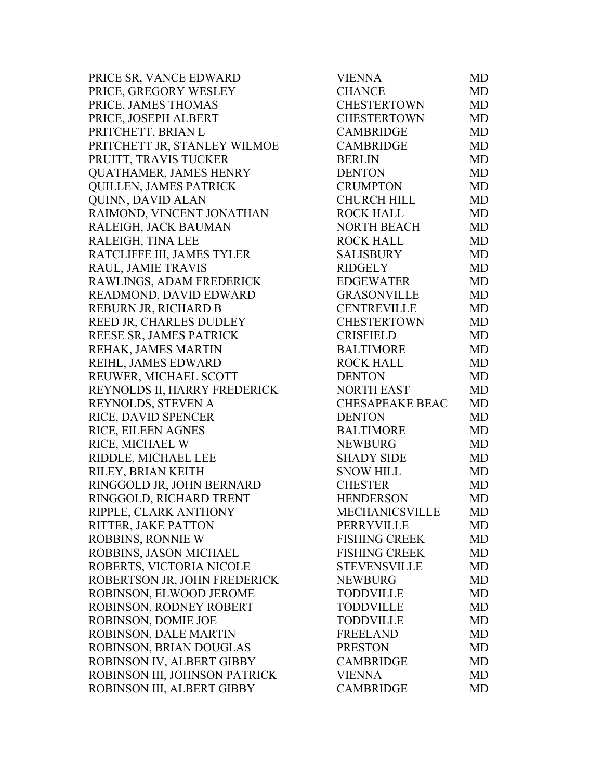PRICE SR, VANCE EDWARD PRICE, GREGORY WESLEY PRICE, JAMES THOMAS PRICE, JOSEPH ALBERT PRITCHETT, BRIAN L PRITCHETT JR, STANLEY WILMOE PRUITT, TRAVIS TUCKER QUATHAMER, JAMES HENRY QUILLEN, JAMES PATRICK QUINN, DAVID ALAN RAIMOND, VINCENT JONATHAN RALEIGH, JACK BAUMAN RALEIGH, TINA LEE RATCLIFFE III, JAMES TYLER RAUL, JAMIE TRAVIS RAWLINGS, ADAM FREDERICK READMOND, DAVID EDWARD REBURN JR, RICHARD B REED JR, CHARLES DUDLEY REESE SR, JAMES PATRICK REHAK, JAMES MARTIN REIHL, JAMES EDWARD REUWER, MICHAEL SCOTT REYNOLDS II, HARRY FREDERICK REYNOLDS, STEVEN A RICE, DAVID SPENCER RICE, EILEEN AGNES RICE, MICHAEL W RIDDLE, MICHAEL LEE RILEY, BRIAN KEITH RINGGOLD JR, JOHN BERNARD RINGGOLD, RICHARD TRENT RIPPLE, CLARK ANTHONY RITTER, JAKE PATTON ROBBINS, RONNIE W ROBBINS, JASON MICHAEL ROBERTS, VICTORIA NICOLE ROBERTSON JR, JOHN FREDERICK ROBINSON, ELWOOD JEROME ROBINSON, RODNEY ROBERT ROBINSON, DOMIE JOE ROBINSON, DALE MARTIN ROBINSON, BRIAN DOUGLAS ROBINSON IV, ALBERT GIBBY ROBINSON III, JOHNSON PATRICK ROBINSON III, ALBERT GIBBY

| <b>VIENNA</b>         | MD        |
|-----------------------|-----------|
| <b>CHANCE</b>         | <b>MD</b> |
| CHESTERTOWN           | <b>MD</b> |
| <b>CHESTERTOWN</b>    | <b>MD</b> |
| <b>CAMBRIDGE</b>      | <b>MD</b> |
| <b>CAMBRIDGE</b>      | <b>MD</b> |
| <b>BERLIN</b>         | <b>MD</b> |
| <b>DENTON</b>         | MD        |
| <b>CRUMPTON</b>       | <b>MD</b> |
| <b>CHURCH HILL</b>    | <b>MD</b> |
| <b>ROCK HALL</b>      | <b>MD</b> |
| <b>NORTH BEACH</b>    | <b>MD</b> |
| <b>ROCK HALL</b>      | <b>MD</b> |
| <b>SALISBURY</b>      | <b>MD</b> |
| <b>RIDGELY</b>        | <b>MD</b> |
| <b>EDGEWATER</b>      | <b>MD</b> |
| <b>GRASONVILLE</b>    | <b>MD</b> |
| <b>CENTREVILLE</b>    | <b>MD</b> |
| CHESTERTOWN           | <b>MD</b> |
| <b>CRISFIELD</b>      | <b>MD</b> |
| <b>BALTIMORE</b>      | <b>MD</b> |
| <b>ROCK HALL</b>      | <b>MD</b> |
| <b>DENTON</b>         | <b>MD</b> |
| <b>NORTH EAST</b>     | <b>MD</b> |
| CHESAPEAKE BEAC       | <b>MD</b> |
| <b>DENTON</b>         | <b>MD</b> |
| <b>BALTIMORE</b>      | <b>MD</b> |
| <b>NEWBURG</b>        | <b>MD</b> |
| <b>SHADY SIDE</b>     | <b>MD</b> |
| <b>SNOW HILL</b>      | <b>MD</b> |
| <b>CHESTER</b>        | MD        |
| <b>HENDERSON</b>      | <b>MD</b> |
| <b>MECHANICSVILLE</b> | MD        |
| <b>PERRYVILLE</b>     | MD        |
| <b>FISHING CREEK</b>  | <b>MD</b> |
| <b>FISHING CREEK</b>  | <b>MD</b> |
| <b>STEVENSVILLE</b>   | <b>MD</b> |
| <b>NEWBURG</b>        | <b>MD</b> |
| <b>TODDVILLE</b>      | <b>MD</b> |
| <b>TODDVILLE</b>      | <b>MD</b> |
| <b>TODDVILLE</b>      | <b>MD</b> |
| <b>FREELAND</b>       | <b>MD</b> |
| <b>PRESTON</b>        | <b>MD</b> |
| <b>CAMBRIDGE</b>      | MD        |
| <b>VIENNA</b>         | <b>MD</b> |
| <b>CAMBRIDGE</b>      | <b>MD</b> |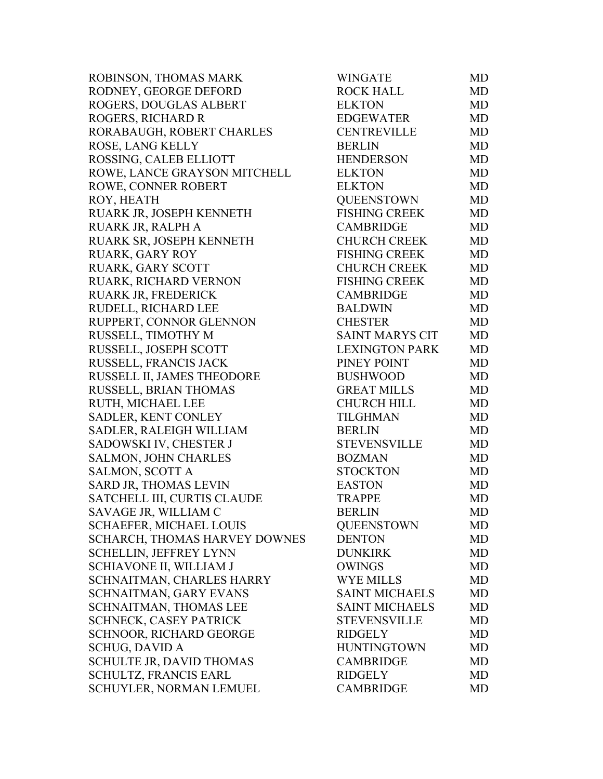| ROBINSON, THOMAS MARK           | <b>WINGATE</b>         | MD        |
|---------------------------------|------------------------|-----------|
| RODNEY, GEORGE DEFORD           | <b>ROCK HALL</b>       | MD        |
| ROGERS, DOUGLAS ALBERT          | <b>ELKTON</b>          | MD        |
| ROGERS, RICHARD R               | EDGEWATER              | MD        |
| RORABAUGH, ROBERT CHARLES       | <b>CENTREVILLE</b>     | MD        |
| ROSE, LANG KELLY                | <b>BERLIN</b>          | MD        |
| ROSSING, CALEB ELLIOTT          | <b>HENDERSON</b>       | MD        |
| ROWE, LANCE GRAYSON MITCHELL    | <b>ELKTON</b>          | <b>MD</b> |
| ROWE, CONNER ROBERT             | <b>ELKTON</b>          | MD        |
| ROY, HEATH                      | <b>QUEENSTOWN</b>      | MD        |
| RUARK JR, JOSEPH KENNETH        | <b>FISHING CREEK</b>   | <b>MD</b> |
| RUARK JR, RALPH A               | <b>CAMBRIDGE</b>       | MD        |
| RUARK SR, JOSEPH KENNETH        | <b>CHURCH CREEK</b>    | MD        |
| <b>RUARK, GARY ROY</b>          | <b>FISHING CREEK</b>   | <b>MD</b> |
| RUARK, GARY SCOTT               | <b>CHURCH CREEK</b>    | <b>MD</b> |
| RUARK, RICHARD VERNON           | <b>FISHING CREEK</b>   | MD        |
| RUARK JR, FREDERICK             | <b>CAMBRIDGE</b>       | MD        |
| RUDELL, RICHARD LEE             | <b>BALDWIN</b>         | MD        |
| RUPPERT, CONNOR GLENNON         | <b>CHESTER</b>         | MD        |
| RUSSELL, TIMOTHY M              | <b>SAINT MARYS CIT</b> | MD        |
| RUSSELL, JOSEPH SCOTT           | <b>LEXINGTON PARK</b>  | <b>MD</b> |
| RUSSELL, FRANCIS JACK           | PINEY POINT            | <b>MD</b> |
| RUSSELL II, JAMES THEODORE      | <b>BUSHWOOD</b>        | MD        |
| RUSSELL, BRIAN THOMAS           | <b>GREAT MILLS</b>     | MD        |
| RUTH, MICHAEL LEE               | <b>CHURCH HILL</b>     | MD        |
| SADLER, KENT CONLEY             | <b>TILGHMAN</b>        | MD        |
| SADLER, RALEIGH WILLIAM         | <b>BERLIN</b>          | <b>MD</b> |
| SADOWSKI IV, CHESTER J          | <b>STEVENSVILLE</b>    | <b>MD</b> |
| SALMON, JOHN CHARLES            | <b>BOZMAN</b>          | MD        |
| <b>SALMON, SCOTT A</b>          | <b>STOCKTON</b>        | MD        |
| SARD JR, THOMAS LEVIN           | <b>EASTON</b>          | MD        |
| SATCHELL III, CURTIS CLAUDE     | <b>TRAPPE</b>          | MD        |
| SAVAGE JR, WILLIAM C            | <b>BERLIN</b>          | MD        |
| <b>SCHAEFER, MICHAEL LOUIS</b>  | <b>QUEENSTOWN</b>      | MD        |
| SCHARCH, THOMAS HARVEY DOWNES   | <b>DENTON</b>          | MD        |
| SCHELLIN, JEFFREY LYNN          | <b>DUNKIRK</b>         | MD        |
| SCHIAVONE II, WILLIAM J         | <b>OWINGS</b>          | MD        |
| SCHNAITMAN, CHARLES HARRY       | <b>WYE MILLS</b>       | MD        |
| SCHNAITMAN, GARY EVANS          | <b>SAINT MICHAELS</b>  | MD        |
| SCHNAITMAN, THOMAS LEE          | <b>SAINT MICHAELS</b>  | MD        |
| <b>SCHNECK, CASEY PATRICK</b>   | <b>STEVENSVILLE</b>    | MD        |
| <b>SCHNOOR, RICHARD GEORGE</b>  | <b>RIDGELY</b>         | MD        |
| <b>SCHUG, DAVID A</b>           | <b>HUNTINGTOWN</b>     | MD        |
| <b>SCHULTE JR, DAVID THOMAS</b> | <b>CAMBRIDGE</b>       | MD        |
| <b>SCHULTZ, FRANCIS EARL</b>    | <b>RIDGELY</b>         | MD.       |
| SCHUYLER, NORMAN LEMUEL         | <b>CAMBRIDGE</b>       | MD        |
|                                 |                        |           |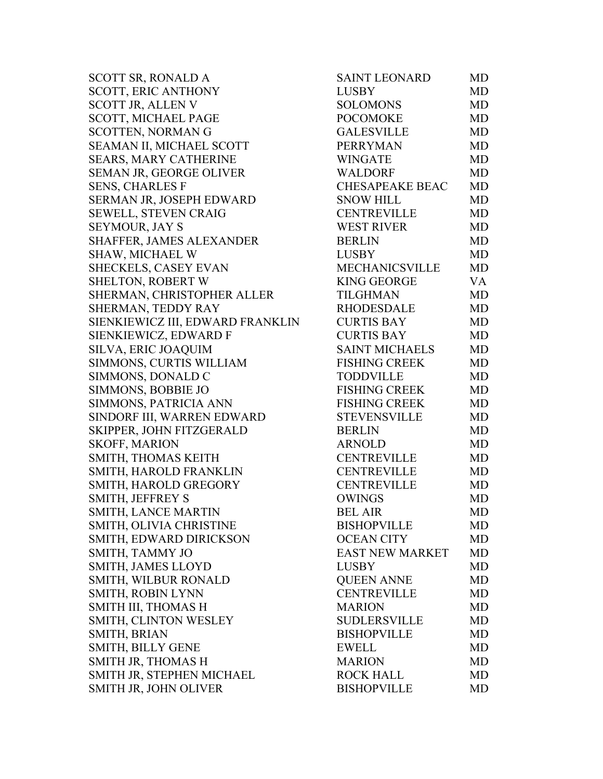SCOTT SR, RONALD A SCOTT, ERIC ANTHONY SCOTT JR, ALLEN V SCOTT, MICHAEL PAGE SCOTTEN, NORMAN G SEAMAN II, MICHAEL SCOTT SEARS, MARY CATHERINE SEMAN JR, GEORGE OLIVER SENS, CHARLES F SERMAN JR, JOSEPH EDWARD SEWELL, STEVEN CRAIG SEYMOUR, JAY S SHAFFER, JAMES ALEXANDER SHAW, MICHAEL W SHECKELS, CASEY EVAN SHELTON, ROBERT W SHERMAN, CHRISTOPHER ALLER SHERMAN, TEDDY RAY SIENKIEWICZ III, EDWARD FRANKLIN SIENKIEWICZ, EDWARD F SILVA, ERIC JOAQUIM SIMMONS, CURTIS WILLIAM SIMMONS, DONALD C SIMMONS, BOBBIE JO SIMMONS, PATRICIA ANN SINDORF III, WARREN EDWARD SKIPPER, JOHN FITZGERALD SKOFF, MARION SMITH, THOMAS KEITH SMITH, HAROLD FRANKLIN SMITH, HAROLD GREGORY SMITH, JEFFREY S SMITH, LANCE MARTIN SMITH, OLIVIA CHRISTINE SMITH, EDWARD DIRICKSON SMITH, TAMMY JO SMITH, JAMES LLOYD SMITH, WILBUR RONALD SMITH, ROBIN LYNN SMITH III, THOMAS H SMITH, CLINTON WESLEY SMITH, BRIAN SMITH, BILLY GENE SMITH JR, THOMAS H SMITH JR, STEPHEN MICHAEL SMITH JR, JOHN OLIVER

| SAINT LEONARD          | MD        |
|------------------------|-----------|
| <b>LUSBY</b>           | <b>MD</b> |
| <b>SOLOMONS</b>        | <b>MD</b> |
| <b>POCOMOKE</b>        | <b>MD</b> |
| <b>GALESVILLE</b>      | <b>MD</b> |
| <b>PERRYMAN</b>        | <b>MD</b> |
| <b>WINGATE</b>         | <b>MD</b> |
| <b>WALDORF</b>         | <b>MD</b> |
| <b>CHESAPEAKE BEAC</b> | <b>MD</b> |
| <b>SNOW HILL</b>       | <b>MD</b> |
| <b>CENTREVILLE</b>     | <b>MD</b> |
| <b>WEST RIVER</b>      | <b>MD</b> |
| <b>BERLIN</b>          | <b>MD</b> |
| <b>LUSBY</b>           | <b>MD</b> |
| MECHANICSVILLE         | <b>MD</b> |
| <b>KING GEORGE</b>     | <b>VA</b> |
| <b>TILGHMAN</b>        | <b>MD</b> |
| <b>RHODESDALE</b>      | <b>MD</b> |
| <b>CURTIS BAY</b>      | <b>MD</b> |
| <b>CURTIS BAY</b>      | <b>MD</b> |
| <b>SAINT MICHAELS</b>  | <b>MD</b> |
| <b>FISHING CREEK</b>   | <b>MD</b> |
| <b>TODDVILLE</b>       | <b>MD</b> |
| <b>FISHING CREEK</b>   | <b>MD</b> |
| <b>FISHING CREEK</b>   | <b>MD</b> |
| <b>STEVENSVILLE</b>    | <b>MD</b> |
| <b>BERLIN</b>          | <b>MD</b> |
| <b>ARNOLD</b>          | <b>MD</b> |
| <b>CENTREVILLE</b>     | <b>MD</b> |
| <b>CENTREVILLE</b>     | <b>MD</b> |
| <b>CENTREVILLE</b>     | <b>MD</b> |
| <b>OWINGS</b>          | <b>MD</b> |
| <b>BEL AIR</b>         | MD        |
| <b>BISHOPVILLE</b>     | MD        |
| <b>OCEAN CITY</b>      | <b>MD</b> |
| <b>EAST NEW MARKET</b> | <b>MD</b> |
| <b>LUSBY</b>           | MD        |
| <b>QUEEN ANNE</b>      | <b>MD</b> |
| <b>CENTREVILLE</b>     | <b>MD</b> |
| <b>MARION</b>          | MD        |
| <b>SUDLERSVILLE</b>    | MD        |
| <b>BISHOPVILLE</b>     | <b>MD</b> |
| <b>EWELL</b>           | MD        |
| <b>MARION</b>          | MD        |
| <b>ROCK HALL</b>       | <b>MD</b> |
| <b>BISHOPVILLE</b>     | MD        |
|                        |           |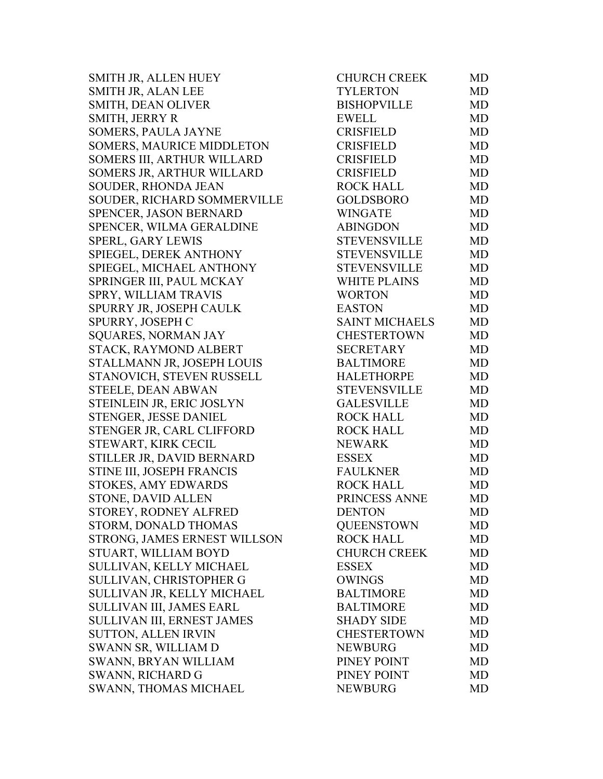SMITH JR, ALLEN HUEY SMITH JR, ALAN LEE SMITH, DEAN OLIVER SMITH, JERRY R SOMERS, PAULA JAYNE SOMERS, MAURICE MIDDLETON SOMERS III, ARTHUR WILLARD SOMERS JR, ARTHUR WILLARD SOUDER, RHONDA JEAN SOUDER, RICHARD SOMMERVILLE SPENCER, JASON BERNARD SPENCER, WILMA GERALDINE SPERL, GARY LEWIS SPIEGEL, DEREK ANTHONY SPIEGEL, MICHAEL ANTHONY SPRINGER III, PAUL MCKAY SPRY, WILLIAM TRAVIS SPURRY JR, JOSEPH CAULK SPURRY, JOSEPH C SQUARES, NORMAN JAY STACK, RAYMOND ALBERT STALLMANN JR, JOSEPH LOUIS STANOVICH, STEVEN RUSSELL STEELE, DEAN ABWAN STEINLEIN JR, ERIC JOSLYN STENGER, JESSE DANIEL STENGER JR, CARL CLIFFORD STEWART, KIRK CECIL STILLER JR, DAVID BERNARD STINE III, JOSEPH FRANCIS STOKES, AMY EDWARDS STONE, DAVID ALLEN STOREY, RODNEY ALFRED STORM, DONALD THOMAS STRONG, JAMES ERNEST WILL SON STUART, WILLIAM BOYD SULLIVAN, KELLY MICHAEL SULLIVAN, CHRISTOPHER G SULLIVAN JR, KELLY MICHAEL SULLIVAN III, JAMES EARL SULLIVAN III, ERNEST JAMES SUTTON, ALLEN IRVIN SWANN SR, WILLIAM D SWANN, BRYAN WILLIAM SWANN, RICHARD G SWANN, THOMAS MICHAEL

| <b>CHURCH CREEK</b>   | MD        |
|-----------------------|-----------|
| TYLERTON              | <b>MD</b> |
| <b>BISHOPVILLE</b>    | <b>MD</b> |
| <b>EWELL</b>          | <b>MD</b> |
| <b>CRISFIELD</b>      | <b>MD</b> |
| <b>CRISFIELD</b>      | <b>MD</b> |
| <b>CRISFIELD</b>      | <b>MD</b> |
| <b>CRISFIELD</b>      | <b>MD</b> |
| <b>ROCK HALL</b>      | <b>MD</b> |
| <b>GOLDSBORO</b>      | <b>MD</b> |
| <b>WINGATE</b>        | <b>MD</b> |
| <b>ABINGDON</b>       | <b>MD</b> |
| <b>STEVENSVILLE</b>   | <b>MD</b> |
| <b>STEVENSVILLE</b>   | <b>MD</b> |
| <b>STEVENSVILLE</b>   | <b>MD</b> |
| <b>WHITE PLAINS</b>   | <b>MD</b> |
| <b>WORTON</b>         | <b>MD</b> |
| <b>EASTON</b>         | <b>MD</b> |
| <b>SAINT MICHAELS</b> | <b>MD</b> |
| <b>CHESTERTOWN</b>    | <b>MD</b> |
| <b>SECRETARY</b>      | <b>MD</b> |
| <b>BALTIMORE</b>      | <b>MD</b> |
| <b>HALETHORPE</b>     | MD        |
| <b>STEVENSVILLE</b>   | <b>MD</b> |
| <b>GALESVILLE</b>     | <b>MD</b> |
| <b>ROCK HALL</b>      | <b>MD</b> |
| <b>ROCK HALL</b>      | <b>MD</b> |
| <b>NEWARK</b>         | <b>MD</b> |
| <b>ESSEX</b>          | <b>MD</b> |
| <b>FAULKNER</b>       | <b>MD</b> |
| <b>ROCK HALL</b>      | <b>MD</b> |
| PRINCESS ANNE         | <b>MD</b> |
| <b>DENTON</b>         | MD        |
| <b>QUEENSTOWN</b>     | <b>MD</b> |
| <b>ROCK HALL</b>      | <b>MD</b> |
| <b>CHURCH CREEK</b>   | MD        |
| <b>ESSEX</b>          | <b>MD</b> |
| <b>OWINGS</b>         | MD        |
| <b>BALTIMORE</b>      | <b>MD</b> |
| <b>BALTIMORE</b>      | <b>MD</b> |
| <b>SHADY SIDE</b>     | MD        |
| <b>CHESTERTOWN</b>    | <b>MD</b> |
| <b>NEWBURG</b>        | <b>MD</b> |
| PINEY POINT           | <b>MD</b> |
| PINEY POINT           | <b>MD</b> |
| <b>NEWBURG</b>        | MD        |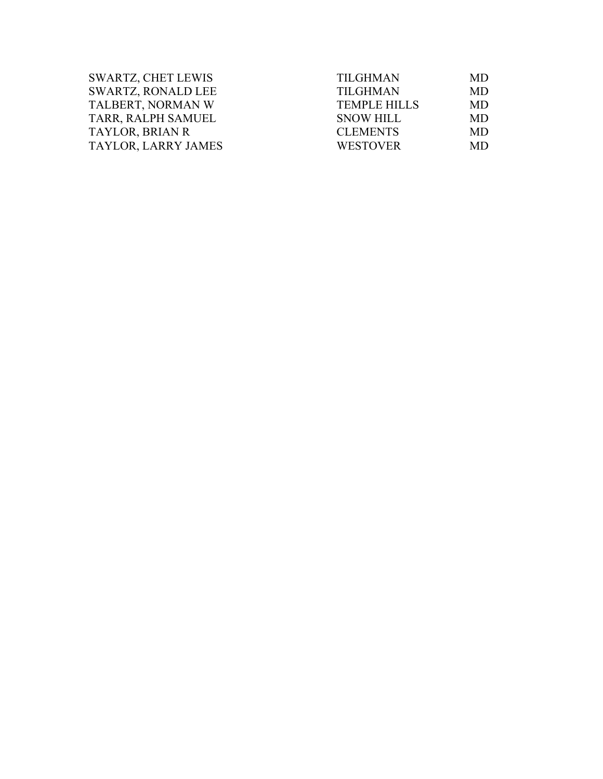| SWARTZ, CHET LEWIS        | <b>TILGHMAN</b>     | <b>MD</b> |
|---------------------------|---------------------|-----------|
| <b>SWARTZ, RONALD LEE</b> | <b>TILGHMAN</b>     | <b>MD</b> |
| TALBERT, NORMAN W         | <b>TEMPLE HILLS</b> | <b>MD</b> |
| TARR, RALPH SAMUEL        | <b>SNOW HILL</b>    | <b>MD</b> |
| TAYLOR, BRIAN R           | <b>CLEMENTS</b>     | MD.       |
| TAYLOR, LARRY JAMES       | <b>WESTOVER</b>     | MD.       |
|                           |                     |           |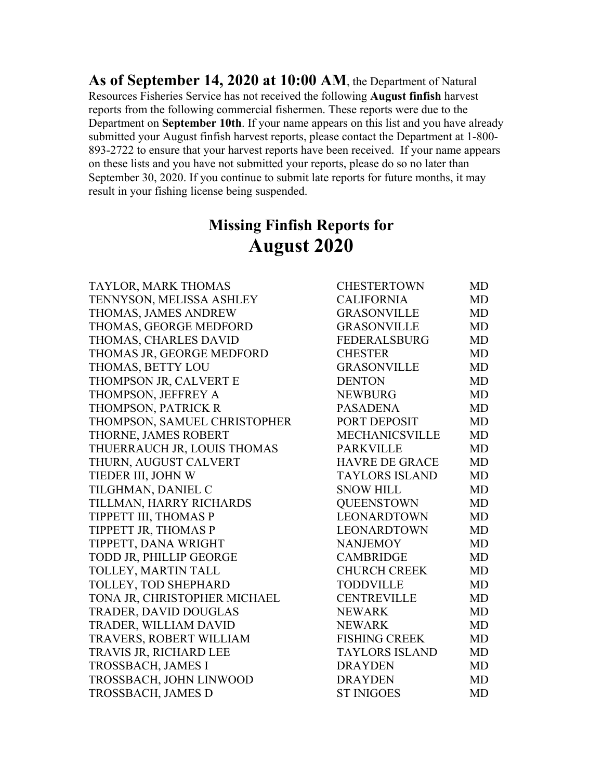**As of September 14, 2020 at 10:00 AM**, the Department of Natural Resources Fisheries Service has not received the following **August finfish** harvest reports from the following commercial fishermen. These reports were due to the Department on **September 10th**. If your name appears on this list and you have already submitted your August finfish harvest reports, please contact the Department at 1-800- 893-2722 to ensure that your harvest reports have been received. If your name appears on these lists and you have not submitted your reports, please do so no later than September 30, 2020. If you continue to submit late reports for future months, it may result in your fishing license being suspended.

## **Missing Finfish Reports for August 2020**

| TAYLOR, MARK THOMAS          | <b>CHESTERTOWN</b>    | <b>MD</b> |
|------------------------------|-----------------------|-----------|
| TENNYSON, MELISSA ASHLEY     | <b>CALIFORNIA</b>     | <b>MD</b> |
| THOMAS, JAMES ANDREW         | <b>GRASONVILLE</b>    | <b>MD</b> |
| THOMAS, GEORGE MEDFORD       | <b>GRASONVILLE</b>    | <b>MD</b> |
| THOMAS, CHARLES DAVID        | <b>FEDERALSBURG</b>   | <b>MD</b> |
| THOMAS JR, GEORGE MEDFORD    | <b>CHESTER</b>        | <b>MD</b> |
| THOMAS, BETTY LOU            | <b>GRASONVILLE</b>    | <b>MD</b> |
| THOMPSON JR, CALVERT E       | <b>DENTON</b>         | <b>MD</b> |
| THOMPSON, JEFFREY A          | <b>NEWBURG</b>        | <b>MD</b> |
| THOMPSON, PATRICK R          | <b>PASADENA</b>       | <b>MD</b> |
| THOMPSON, SAMUEL CHRISTOPHER | PORT DEPOSIT          | <b>MD</b> |
| THORNE, JAMES ROBERT         | <b>MECHANICSVILLE</b> | <b>MD</b> |
| THUERRAUCH JR, LOUIS THOMAS  | <b>PARKVILLE</b>      | <b>MD</b> |
| THURN, AUGUST CALVERT        | <b>HAVRE DE GRACE</b> | <b>MD</b> |
| TIEDER III, JOHN W           | <b>TAYLORS ISLAND</b> | <b>MD</b> |
| TILGHMAN, DANIEL C           | <b>SNOW HILL</b>      | <b>MD</b> |
| TILLMAN, HARRY RICHARDS      | <b>QUEENSTOWN</b>     | <b>MD</b> |
| TIPPETT III, THOMAS P        | LEONARDTOWN           | <b>MD</b> |
| TIPPETT JR, THOMAS P         | LEONARDTOWN           | <b>MD</b> |
| TIPPETT, DANA WRIGHT         | <b>NANJEMOY</b>       | <b>MD</b> |
| TODD JR, PHILLIP GEORGE      | <b>CAMBRIDGE</b>      | <b>MD</b> |
| TOLLEY, MARTIN TALL          | <b>CHURCH CREEK</b>   | <b>MD</b> |
| TOLLEY, TOD SHEPHARD         | <b>TODDVILLE</b>      | <b>MD</b> |
| TONA JR, CHRISTOPHER MICHAEL | <b>CENTREVILLE</b>    | <b>MD</b> |
| <b>TRADER, DAVID DOUGLAS</b> | <b>NEWARK</b>         | <b>MD</b> |
| TRADER, WILLIAM DAVID        | <b>NEWARK</b>         | <b>MD</b> |
| TRAVERS, ROBERT WILLIAM      | <b>FISHING CREEK</b>  | <b>MD</b> |
| TRAVIS JR, RICHARD LEE       | <b>TAYLORS ISLAND</b> | <b>MD</b> |
| TROSSBACH, JAMES I           | <b>DRAYDEN</b>        | <b>MD</b> |
| TROSSBACH, JOHN LINWOOD      | <b>DRAYDEN</b>        | <b>MD</b> |
| TROSSBACH, JAMES D           | <b>ST INIGOES</b>     | <b>MD</b> |
|                              |                       |           |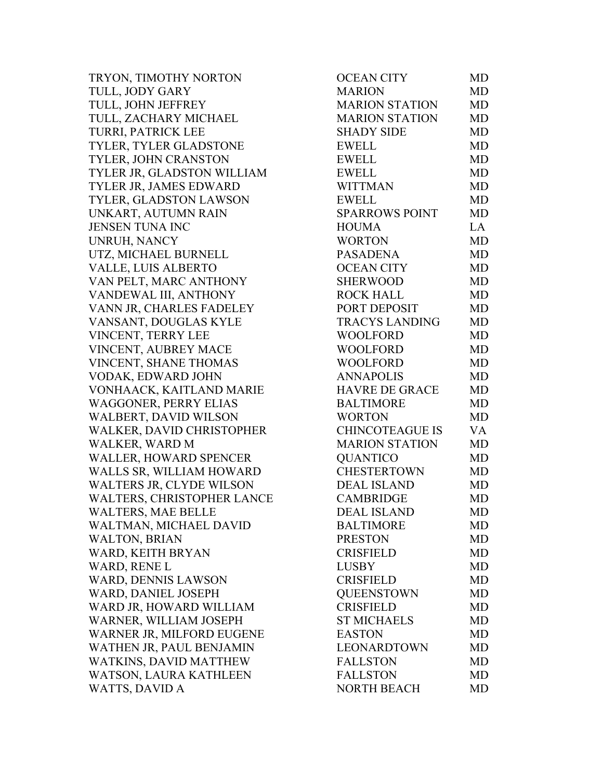TRYON, TIMOTHY NORTON TULL, JODY GARY TULL, JOHN JEFFREY TULL, ZACHARY MICHAEL TURRI, PATRICK LEE TYLER, TYLER GLADSTONE TYLER, JOHN CRANSTON TYLER JR, GLADSTON WILLIAM TYLER JR, JAMES EDWARD TYLER, GLADSTON LAWSON UNKART, AUTUMN RAIN JENSEN TUNA INC UNRUH, NANCY UTZ, MICHAEL BURNELL VALLE, LUIS ALBERTO VAN PELT, MARC ANTHONY VANDEWAL III, ANTHONY VANN JR, CHARLES FADELEY VANSANT, DOUGLAS KYLE VINCENT, TERRY LEE VINCENT, AUBREY MACE VINCENT, SHANE THOMAS VODAK, EDWARD JOHN VONHAACK, KAITLAND MARIE WAGGONER, PERRY ELIAS WALBERT, DAVID WILSON WALKER, DAVID CHRISTOPHER WALKER, WARD M WALLER, HOWARD SPENCER WALLS SR, WILLIAM HOWARD WALTERS JR, CLYDE WILSON WALTERS, CHRISTOPHER LANCE WALTERS, MAE BELLE WALTMAN, MICHAEL DAVID WALTON, BRIAN WARD, KEITH BRYAN WARD, RENE L WARD, DENNIS LAWSON WARD, DANIEL JOSEPH WARD JR, HOWARD WILLIAM WARNER, WILLIAM JOSEPH WARNER JR, MILFORD EUGENE WATHEN JR, PAUL BENJAMIN WATKINS, DAVID MATTHEW WATSON, LAURA KATHLEEN WATTS, DAVID A

| <b>MARION</b><br>MD<br><b>MARION STATION</b><br><b>MD</b><br>MARION STATION<br><b>MD</b><br><b>SHADY SIDE</b><br><b>MD</b><br><b>EWELL</b><br><b>MD</b><br><b>EWELL</b><br><b>MD</b><br><b>EWELL</b><br><b>MD</b><br><b>WITTMAN</b><br><b>MD</b><br><b>EWELL</b><br><b>MD</b><br><b>SPARROWS POINT</b><br><b>MD</b><br>LA<br><b>HOUMA</b><br><b>WORTON</b><br><b>MD</b><br><b>PASADENA</b><br>MD<br><b>OCEAN CITY</b><br><b>MD</b><br><b>SHERWOOD</b><br><b>MD</b><br><b>ROCK HALL</b><br><b>MD</b><br>PORT DEPOSIT<br><b>MD</b><br><b>TRACYS LANDING</b><br><b>MD</b><br><b>WOOLFORD</b><br><b>MD</b><br><b>WOOLFORD</b><br><b>MD</b><br>WOOLFORD<br>MD<br><b>ANNAPOLIS</b><br><b>MD</b><br><b>HAVRE DE GRACE</b><br><b>MD</b><br><b>BALTIMORE</b><br><b>MD</b><br><b>WORTON</b><br><b>MD</b><br><b>CHINCOTEAGUE IS</b><br>VA<br><b>MARION STATION</b><br><b>MD</b><br><b>QUANTICO</b><br><b>MD</b><br><b>CHESTERTOWN</b><br><b>MD</b><br><b>DEAL ISLAND</b><br><b>MD</b><br><b>CAMBRIDGE</b><br>MD<br><b>DEAL ISLAND</b><br>MD<br><b>BALTIMORE</b><br>MD<br><b>PRESTON</b><br><b>MD</b><br><b>CRISFIELD</b><br>MD<br><b>LUSBY</b><br><b>MD</b><br><b>CRISFIELD</b><br>MD<br><b>QUEENSTOWN</b><br><b>MD</b><br><b>CRISFIELD</b><br><b>MD</b><br><b>ST MICHAELS</b><br>MD<br><b>EASTON</b><br>MD<br>LEONARDTOWN<br><b>MD</b><br><b>FALLSTON</b><br><b>MD</b> | <b>FALLSTON</b><br><b>MD</b> | <b>OCEAN CITY</b>  | MD |
|--------------------------------------------------------------------------------------------------------------------------------------------------------------------------------------------------------------------------------------------------------------------------------------------------------------------------------------------------------------------------------------------------------------------------------------------------------------------------------------------------------------------------------------------------------------------------------------------------------------------------------------------------------------------------------------------------------------------------------------------------------------------------------------------------------------------------------------------------------------------------------------------------------------------------------------------------------------------------------------------------------------------------------------------------------------------------------------------------------------------------------------------------------------------------------------------------------------------------------------------------------------------------------------------------------------------------------------------------------------|------------------------------|--------------------|----|
|                                                                                                                                                                                                                                                                                                                                                                                                                                                                                                                                                                                                                                                                                                                                                                                                                                                                                                                                                                                                                                                                                                                                                                                                                                                                                                                                                              |                              |                    |    |
|                                                                                                                                                                                                                                                                                                                                                                                                                                                                                                                                                                                                                                                                                                                                                                                                                                                                                                                                                                                                                                                                                                                                                                                                                                                                                                                                                              |                              |                    |    |
|                                                                                                                                                                                                                                                                                                                                                                                                                                                                                                                                                                                                                                                                                                                                                                                                                                                                                                                                                                                                                                                                                                                                                                                                                                                                                                                                                              |                              |                    |    |
|                                                                                                                                                                                                                                                                                                                                                                                                                                                                                                                                                                                                                                                                                                                                                                                                                                                                                                                                                                                                                                                                                                                                                                                                                                                                                                                                                              |                              |                    |    |
|                                                                                                                                                                                                                                                                                                                                                                                                                                                                                                                                                                                                                                                                                                                                                                                                                                                                                                                                                                                                                                                                                                                                                                                                                                                                                                                                                              |                              |                    |    |
|                                                                                                                                                                                                                                                                                                                                                                                                                                                                                                                                                                                                                                                                                                                                                                                                                                                                                                                                                                                                                                                                                                                                                                                                                                                                                                                                                              |                              |                    |    |
|                                                                                                                                                                                                                                                                                                                                                                                                                                                                                                                                                                                                                                                                                                                                                                                                                                                                                                                                                                                                                                                                                                                                                                                                                                                                                                                                                              |                              |                    |    |
|                                                                                                                                                                                                                                                                                                                                                                                                                                                                                                                                                                                                                                                                                                                                                                                                                                                                                                                                                                                                                                                                                                                                                                                                                                                                                                                                                              |                              |                    |    |
|                                                                                                                                                                                                                                                                                                                                                                                                                                                                                                                                                                                                                                                                                                                                                                                                                                                                                                                                                                                                                                                                                                                                                                                                                                                                                                                                                              |                              |                    |    |
|                                                                                                                                                                                                                                                                                                                                                                                                                                                                                                                                                                                                                                                                                                                                                                                                                                                                                                                                                                                                                                                                                                                                                                                                                                                                                                                                                              |                              |                    |    |
|                                                                                                                                                                                                                                                                                                                                                                                                                                                                                                                                                                                                                                                                                                                                                                                                                                                                                                                                                                                                                                                                                                                                                                                                                                                                                                                                                              |                              |                    |    |
|                                                                                                                                                                                                                                                                                                                                                                                                                                                                                                                                                                                                                                                                                                                                                                                                                                                                                                                                                                                                                                                                                                                                                                                                                                                                                                                                                              |                              |                    |    |
|                                                                                                                                                                                                                                                                                                                                                                                                                                                                                                                                                                                                                                                                                                                                                                                                                                                                                                                                                                                                                                                                                                                                                                                                                                                                                                                                                              |                              |                    |    |
|                                                                                                                                                                                                                                                                                                                                                                                                                                                                                                                                                                                                                                                                                                                                                                                                                                                                                                                                                                                                                                                                                                                                                                                                                                                                                                                                                              |                              |                    |    |
|                                                                                                                                                                                                                                                                                                                                                                                                                                                                                                                                                                                                                                                                                                                                                                                                                                                                                                                                                                                                                                                                                                                                                                                                                                                                                                                                                              |                              |                    |    |
|                                                                                                                                                                                                                                                                                                                                                                                                                                                                                                                                                                                                                                                                                                                                                                                                                                                                                                                                                                                                                                                                                                                                                                                                                                                                                                                                                              |                              |                    |    |
|                                                                                                                                                                                                                                                                                                                                                                                                                                                                                                                                                                                                                                                                                                                                                                                                                                                                                                                                                                                                                                                                                                                                                                                                                                                                                                                                                              |                              |                    |    |
|                                                                                                                                                                                                                                                                                                                                                                                                                                                                                                                                                                                                                                                                                                                                                                                                                                                                                                                                                                                                                                                                                                                                                                                                                                                                                                                                                              |                              |                    |    |
|                                                                                                                                                                                                                                                                                                                                                                                                                                                                                                                                                                                                                                                                                                                                                                                                                                                                                                                                                                                                                                                                                                                                                                                                                                                                                                                                                              |                              |                    |    |
|                                                                                                                                                                                                                                                                                                                                                                                                                                                                                                                                                                                                                                                                                                                                                                                                                                                                                                                                                                                                                                                                                                                                                                                                                                                                                                                                                              |                              |                    |    |
|                                                                                                                                                                                                                                                                                                                                                                                                                                                                                                                                                                                                                                                                                                                                                                                                                                                                                                                                                                                                                                                                                                                                                                                                                                                                                                                                                              |                              |                    |    |
|                                                                                                                                                                                                                                                                                                                                                                                                                                                                                                                                                                                                                                                                                                                                                                                                                                                                                                                                                                                                                                                                                                                                                                                                                                                                                                                                                              |                              |                    |    |
|                                                                                                                                                                                                                                                                                                                                                                                                                                                                                                                                                                                                                                                                                                                                                                                                                                                                                                                                                                                                                                                                                                                                                                                                                                                                                                                                                              |                              |                    |    |
|                                                                                                                                                                                                                                                                                                                                                                                                                                                                                                                                                                                                                                                                                                                                                                                                                                                                                                                                                                                                                                                                                                                                                                                                                                                                                                                                                              |                              |                    |    |
|                                                                                                                                                                                                                                                                                                                                                                                                                                                                                                                                                                                                                                                                                                                                                                                                                                                                                                                                                                                                                                                                                                                                                                                                                                                                                                                                                              |                              |                    |    |
|                                                                                                                                                                                                                                                                                                                                                                                                                                                                                                                                                                                                                                                                                                                                                                                                                                                                                                                                                                                                                                                                                                                                                                                                                                                                                                                                                              |                              |                    |    |
|                                                                                                                                                                                                                                                                                                                                                                                                                                                                                                                                                                                                                                                                                                                                                                                                                                                                                                                                                                                                                                                                                                                                                                                                                                                                                                                                                              |                              |                    |    |
|                                                                                                                                                                                                                                                                                                                                                                                                                                                                                                                                                                                                                                                                                                                                                                                                                                                                                                                                                                                                                                                                                                                                                                                                                                                                                                                                                              |                              |                    |    |
|                                                                                                                                                                                                                                                                                                                                                                                                                                                                                                                                                                                                                                                                                                                                                                                                                                                                                                                                                                                                                                                                                                                                                                                                                                                                                                                                                              |                              |                    |    |
|                                                                                                                                                                                                                                                                                                                                                                                                                                                                                                                                                                                                                                                                                                                                                                                                                                                                                                                                                                                                                                                                                                                                                                                                                                                                                                                                                              |                              |                    |    |
|                                                                                                                                                                                                                                                                                                                                                                                                                                                                                                                                                                                                                                                                                                                                                                                                                                                                                                                                                                                                                                                                                                                                                                                                                                                                                                                                                              |                              |                    |    |
|                                                                                                                                                                                                                                                                                                                                                                                                                                                                                                                                                                                                                                                                                                                                                                                                                                                                                                                                                                                                                                                                                                                                                                                                                                                                                                                                                              |                              |                    |    |
|                                                                                                                                                                                                                                                                                                                                                                                                                                                                                                                                                                                                                                                                                                                                                                                                                                                                                                                                                                                                                                                                                                                                                                                                                                                                                                                                                              |                              |                    |    |
|                                                                                                                                                                                                                                                                                                                                                                                                                                                                                                                                                                                                                                                                                                                                                                                                                                                                                                                                                                                                                                                                                                                                                                                                                                                                                                                                                              |                              |                    |    |
|                                                                                                                                                                                                                                                                                                                                                                                                                                                                                                                                                                                                                                                                                                                                                                                                                                                                                                                                                                                                                                                                                                                                                                                                                                                                                                                                                              |                              |                    |    |
|                                                                                                                                                                                                                                                                                                                                                                                                                                                                                                                                                                                                                                                                                                                                                                                                                                                                                                                                                                                                                                                                                                                                                                                                                                                                                                                                                              |                              |                    |    |
|                                                                                                                                                                                                                                                                                                                                                                                                                                                                                                                                                                                                                                                                                                                                                                                                                                                                                                                                                                                                                                                                                                                                                                                                                                                                                                                                                              |                              |                    |    |
|                                                                                                                                                                                                                                                                                                                                                                                                                                                                                                                                                                                                                                                                                                                                                                                                                                                                                                                                                                                                                                                                                                                                                                                                                                                                                                                                                              |                              |                    |    |
|                                                                                                                                                                                                                                                                                                                                                                                                                                                                                                                                                                                                                                                                                                                                                                                                                                                                                                                                                                                                                                                                                                                                                                                                                                                                                                                                                              |                              |                    |    |
|                                                                                                                                                                                                                                                                                                                                                                                                                                                                                                                                                                                                                                                                                                                                                                                                                                                                                                                                                                                                                                                                                                                                                                                                                                                                                                                                                              |                              |                    |    |
|                                                                                                                                                                                                                                                                                                                                                                                                                                                                                                                                                                                                                                                                                                                                                                                                                                                                                                                                                                                                                                                                                                                                                                                                                                                                                                                                                              |                              |                    |    |
|                                                                                                                                                                                                                                                                                                                                                                                                                                                                                                                                                                                                                                                                                                                                                                                                                                                                                                                                                                                                                                                                                                                                                                                                                                                                                                                                                              |                              |                    |    |
|                                                                                                                                                                                                                                                                                                                                                                                                                                                                                                                                                                                                                                                                                                                                                                                                                                                                                                                                                                                                                                                                                                                                                                                                                                                                                                                                                              |                              |                    |    |
|                                                                                                                                                                                                                                                                                                                                                                                                                                                                                                                                                                                                                                                                                                                                                                                                                                                                                                                                                                                                                                                                                                                                                                                                                                                                                                                                                              |                              |                    |    |
|                                                                                                                                                                                                                                                                                                                                                                                                                                                                                                                                                                                                                                                                                                                                                                                                                                                                                                                                                                                                                                                                                                                                                                                                                                                                                                                                                              |                              | <b>NORTH BEACH</b> | MD |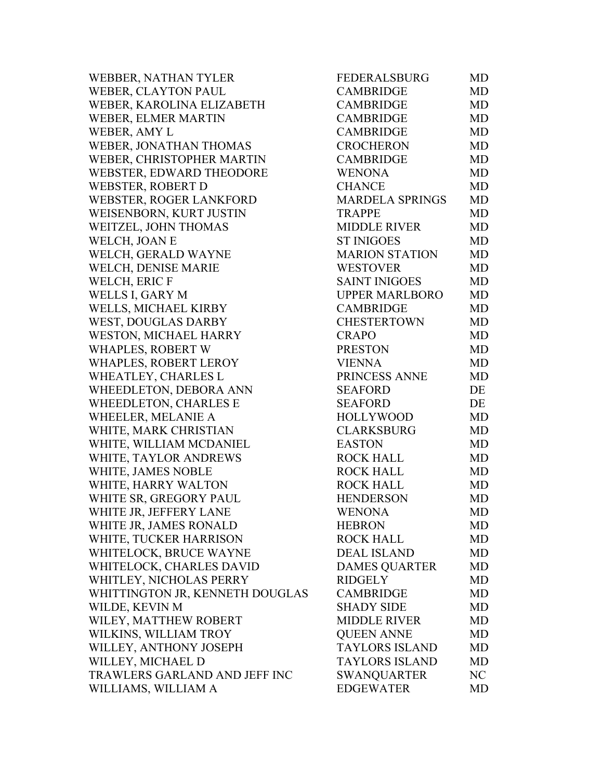| WEBBER, NATHAN TYLER            | <b>FEDERALSBURG</b>    | MD        |
|---------------------------------|------------------------|-----------|
| WEBER, CLAYTON PAUL             | <b>CAMBRIDGE</b>       | <b>MD</b> |
| WEBER, KAROLINA ELIZABETH       | <b>CAMBRIDGE</b>       | <b>MD</b> |
| WEBER, ELMER MARTIN             | <b>CAMBRIDGE</b>       | <b>MD</b> |
| WEBER, AMY L                    | <b>CAMBRIDGE</b>       | <b>MD</b> |
| WEBER, JONATHAN THOMAS          | <b>CROCHERON</b>       | <b>MD</b> |
| WEBER, CHRISTOPHER MARTIN       | <b>CAMBRIDGE</b>       | <b>MD</b> |
| WEBSTER, EDWARD THEODORE        | <b>WENONA</b>          | <b>MD</b> |
| <b>WEBSTER, ROBERT D</b>        | <b>CHANCE</b>          | <b>MD</b> |
| WEBSTER, ROGER LANKFORD         | <b>MARDELA SPRINGS</b> | <b>MD</b> |
| WEISENBORN, KURT JUSTIN         | <b>TRAPPE</b>          | <b>MD</b> |
| WEITZEL, JOHN THOMAS            | <b>MIDDLE RIVER</b>    | <b>MD</b> |
| WELCH, JOAN E                   | <b>ST INIGOES</b>      | <b>MD</b> |
| WELCH, GERALD WAYNE             | <b>MARION STATION</b>  | <b>MD</b> |
| WELCH, DENISE MARIE             | <b>WESTOVER</b>        | <b>MD</b> |
| WELCH, ERIC F                   | <b>SAINT INIGOES</b>   | <b>MD</b> |
| WELLS I, GARY M                 | <b>UPPER MARLBORO</b>  | MD        |
| WELLS, MICHAEL KIRBY            | <b>CAMBRIDGE</b>       | <b>MD</b> |
| WEST, DOUGLAS DARBY             | <b>CHESTERTOWN</b>     | <b>MD</b> |
| <b>WESTON, MICHAEL HARRY</b>    | <b>CRAPO</b>           | <b>MD</b> |
| <b>WHAPLES, ROBERT W</b>        | <b>PRESTON</b>         | <b>MD</b> |
| WHAPLES, ROBERT LEROY           | <b>VIENNA</b>          | <b>MD</b> |
| WHEATLEY, CHARLES L             | PRINCESS ANNE          | MD        |
| WHEEDLETON, DEBORA ANN          | <b>SEAFORD</b>         | DE        |
| WHEEDLETON, CHARLES E           | <b>SEAFORD</b>         | DE        |
| WHEELER, MELANIE A              | <b>HOLLYWOOD</b>       | <b>MD</b> |
| WHITE, MARK CHRISTIAN           | <b>CLARKSBURG</b>      | <b>MD</b> |
| WHITE, WILLIAM MCDANIEL         | <b>EASTON</b>          | <b>MD</b> |
| WHITE, TAYLOR ANDREWS           | <b>ROCK HALL</b>       | <b>MD</b> |
| WHITE, JAMES NOBLE              | <b>ROCK HALL</b>       | <b>MD</b> |
| WHITE, HARRY WALTON             | <b>ROCK HALL</b>       | <b>MD</b> |
| WHITE SR, GREGORY PAUL          | <b>HENDERSON</b>       | MD        |
| WHITE JR, JEFFERY LANE          | <b>WENONA</b>          | MD        |
| WHITE JR, JAMES RONALD          | <b>HEBRON</b>          | MD        |
| WHITE, TUCKER HARRISON          | <b>ROCK HALL</b>       | MD        |
| WHITELOCK, BRUCE WAYNE          | <b>DEAL ISLAND</b>     | MD        |
| WHITELOCK, CHARLES DAVID        | <b>DAMES QUARTER</b>   | MD        |
| WHITLEY, NICHOLAS PERRY         | <b>RIDGELY</b>         | MD        |
| WHITTINGTON JR, KENNETH DOUGLAS | <b>CAMBRIDGE</b>       | MD        |
| WILDE, KEVIN M                  | <b>SHADY SIDE</b>      | MD        |
| WILEY, MATTHEW ROBERT           | <b>MIDDLE RIVER</b>    | MD        |
| WILKINS, WILLIAM TROY           | <b>QUEEN ANNE</b>      | MD        |
| WILLEY, ANTHONY JOSEPH          | <b>TAYLORS ISLAND</b>  | MD        |
| WILLEY, MICHAEL D               | <b>TAYLORS ISLAND</b>  | MD        |
| TRAWLERS GARLAND AND JEFF INC   | <b>SWANQUARTER</b>     | NC        |
| WILLIAMS, WILLIAM A             | <b>EDGEWATER</b>       | MD        |
|                                 |                        |           |